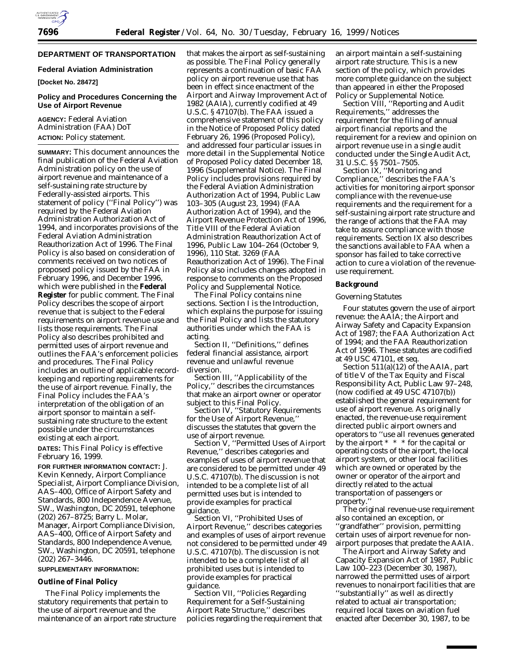# **DEPARTMENT OF TRANSPORTATION**

#### **Federal Aviation Administration**

**[Docket No. 28472]**

# **Policy and Procedures Concerning the Use of Airport Revenue**

**AGENCY:** Federal Aviation Administration (FAA) DoT **ACTION:** Policy statement.

**SUMMARY:** This document announces the final publication of the Federal Aviation Administration policy on the use of airport revenue and maintenance of a self-sustaining rate structure by Federally-assisted airports. This statement of policy (''Final Policy'') was required by the Federal Aviation Administration Authorization Act of 1994, and incorporates provisions of the Federal Aviation Administration Reauthorization Act of 1996. The Final Policy is also based on consideration of comments received on two notices of proposed policy issued by the FAA in February 1996, and December 1996, which were published in the **Federal Register** for public comment. The Final Policy describes the scope of airport revenue that is subject to the Federal requirements on airport revenue use and lists those requirements. The Final Policy also describes prohibited and permitted uses of airport revenue and outlines the FAA's enforcement policies and procedures. The Final Policy includes an outline of applicable recordkeeping and reporting requirements for the use of airport revenue. Finally, the Final Policy includes the FAA's interpretation of the obligation of an airport sponsor to maintain a selfsustaining rate structure to the extent possible under the circumstances existing at each airport.

**DATES:** This Final Policy is effective February 16, 1999.

**FOR FURTHER INFORMATION CONTACT:** J. Kevin Kennedy, Airport Compliance Specialist, Airport Compliance Division, AAS–400, Office of Airport Safety and Standards, 800 Independence Avenue, SW., Washington, DC 20591, telephone (202) 267–8725; Barry L. Molar, Manager, Airport Compliance Division, AAS–400, Office of Airport Safety and Standards, 800 Independence Avenue, SW., Washington, DC 20591, telephone (202) 267–3446.

### **SUPPLEMENTARY INFORMATION:**

## **Outline of Final Policy**

The Final Policy implements the statutory requirements that pertain to the use of airport revenue and the maintenance of an airport rate structure

that makes the airport as self-sustaining as possible. The Final Policy generally represents a continuation of basic FAA policy on airport revenue use that has been in effect since enactment of the Airport and Airway Improvement Act of 1982 (AAIA), currently codified at 49 U.S.C. § 47107(b). The FAA issued a comprehensive statement of this policy in the Notice of Proposed Policy dated February 26, 1996 (Proposed Policy), and addressed four particular issues in more detail in the Supplemental Notice of Proposed Policy dated December 18, 1996 (Supplemental Notice). The Final Policy includes provisions required by the Federal Aviation Administration Authorization Act of 1994, Public Law 103–305 (August 23, 1994) (FAA Authorization Act of 1994), and the Airport Revenue Protection Act of 1996, Title VIII of the Federal Aviation Administration Reauthorization Act of 1996, Public Law 104–264 (October 9, 1996), 110 Stat. 3269 (FAA Reauthorization Act of 1996). The Final Policy also includes changes adopted in response to comments on the Proposed Policy and Supplemental Notice.

The Final Policy contains nine sections. Section I is the Introduction, which explains the purpose for issuing the Final Policy and lists the statutory authorities under which the FAA is acting.

Section II, ''Definitions,'' defines federal financial assistance, airport revenue and unlawful revenue diversion.

Section III, ''Applicability of the Policy,'' describes the circumstances that make an airport owner or operator subject to this Final Policy.

Section IV, ''Statutory Requirements for the Use of Airport Revenue,'' discusses the statutes that govern the use of airport revenue.

Section V, ''Permitted Uses of Airport Revenue,'' describes categories and examples of uses of airport revenue that are considered to be permitted under 49 U.S.C. 47107(b). The discussion is not intended to be a complete list of all permitted uses but is intended to provide examples for practical guidance.

Section VI, ''Prohibited Uses of Airport Revenue,'' describes categories and examples of uses of airport revenue not considered to be permitted under 49 U.S.C. 47107(b). The discussion is not intended to be a complete list of all prohibited uses but is intended to provide examples for practical guidance.

Section VII, ''Policies Regarding Requirement for a Self-Sustaining Airport Rate Structure,'' describes policies regarding the requirement that an airport maintain a self-sustaining airport rate structure. This is a new section of the policy, which provides more complete guidance on the subject than appeared in either the Proposed Policy or Supplemental Notice.

Section VIII, ''Reporting and Audit Requirements,'' addresses the requirement for the filing of annual airport financial reports and the requirement for a review and opinion on airport revenue use in a single audit conducted under the Single Audit Act, 31 U.S.C. §§ 7501–7505.

Section IX, ''Monitoring and Compliance,'' describes the FAA's activities for monitoring airport sponsor compliance with the revenue-use requirements and the requirement for a self-sustaining airport rate structure and the range of actions that the FAA may take to assure compliance with those requirements. Section IX also describes the sanctions available to FAA when a sponsor has failed to take corrective action to cure a violation of the revenueuse requirement.

### **Background**

#### *Governing Statutes*

Four statutes govern the use of airport revenue: the AAIA; the Airport and Airway Safety and Capacity Expansion Act of 1987; the FAA Authorization Act of 1994; and the FAA Reauthorization Act of 1996. These statutes are codified at 49 USC 47101, *et seq.*

Section 511(a)(12) of the AAIA, part of title V of the Tax Equity and Fiscal Responsibility Act, Public Law 97–248, (now codified at 49 USC 47107(b)) established the general requirement for use of airport revenue. As originally enacted, the revenue-use requirement directed public airport owners and operators to ''use all revenues generated by the airport \* \* \* for the capital or operating costs of the airport, the local airport system, or other local facilities which are owned or operated by the owner or operator of the airport and directly related to the actual transportation of passengers or property.''

The original revenue-use requirement also contained an exception, or ''grandfather'' provision, permitting certain uses of airport revenue for nonairport purposes that predate the AAIA.

The Airport and Airway Safety and Capacity Expansion Act of 1987, Public Law 100–223 (December 30, 1987), narrowed the permitted uses of airport revenues to nonairport facilities that are ''substantially'' as well as directly related to actual air transportation; required local taxes on aviation fuel enacted after December 30, 1987, to be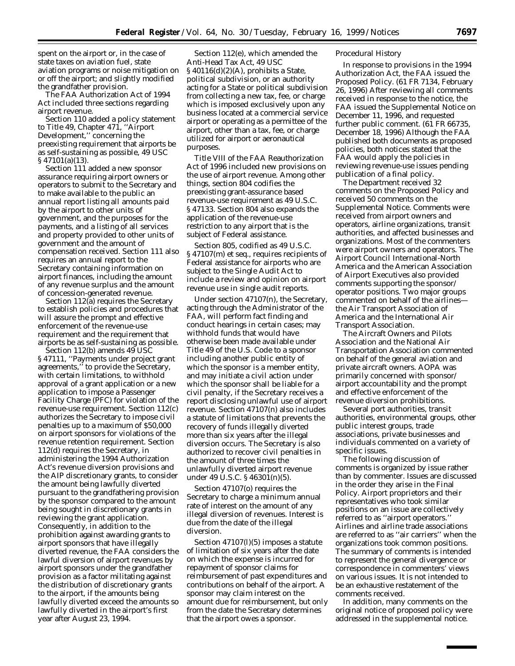spent on the airport or, in the case of state taxes on aviation fuel, state aviation programs or noise mitigation on or off the airport; and slightly modified the grandfather provision.

The FAA Authorization Act of 1994 Act included three sections regarding airport revenue.

Section 110 added a policy statement to Title 49, Chapter 471, ''Airport Development,'' concerning the preexisting requirement that airports be as self-sustaining as possible, 49 USC § 47101(a)(13).

Section 111 added a new sponsor assurance requiring airport owners or operators to submit to the Secretary and to make available to the public an annual report listing all amounts paid by the airport to other units of government, and the purposes for the payments, and a listing of all services and property provided to other units of government and the amount of compensation received. Section 111 also requires an annual report to the Secretary containing information on airport finances, including the amount of any revenue surplus and the amount of concession-generated revenue.

Section 112(a) requires the Secretary to establish policies and procedures that will assure the prompt and effective enforcement of the revenue-use requirement and the requirement that airports be as self-sustaining as possible.

Section 112(b) amends 49 USC § 47111, ''Payments under project grant agreements,'' to provide the Secretary, with certain limitations, to withhold approval of a grant application or a new application to impose a Passenger Facility Charge (PFC) for violation of the revenue-use requirement. Section 112(c) authorizes the Secretary to impose civil penalties up to a maximum of \$50,000 on airport sponsors for violations of the revenue retention requirement. Section 112(d) requires the Secretary, in administering the 1994 Authorization Act's revenue diversion provisions and the AIP discretionary grants, to consider the amount being lawfully diverted pursuant to the grandfathering provision by the sponsor compared to the amount being sought in discretionary grants in reviewing the grant application. Consequently, in addition to the prohibition against awarding grants to airport sponsors that have illegally diverted revenue, the FAA considers the lawful diversion of airport revenues by airport sponsors under the grandfather provision as a factor militating against the distribution of discretionary grants to the airport, if the amounts being lawfully diverted exceed the amounts so lawfully diverted in the airport's first year after August 23, 1994.

Section 112(e), which amended the Anti-Head Tax Act, 49 USC § 40116(d)(2)(A), prohibits a State, political subdivision, or an authority acting for a State or political subdivision from collecting a new tax, fee, or charge which is imposed exclusively upon any business located at a commercial service airport or operating as a permittee of the airport, other than a tax, fee, or charge utilized for airport or aeronautical purposes.

Title VIII of the FAA Reauthorization Act of 1996 included new provisions on the use of airport revenue. Among other things, section 804 codifies the preexisting grant-assurance based revenue-use requirement as 49 U.S.C. § 47133. Section 804 also expands the application of the revenue-use restriction to any airport that is the subject of Federal assistance.

Section 805, codified as 49 U.S.C. § 47107(m) *et seq.*, requires recipients of Federal assistance for airports who are subject to the Single Audit Act to include a review and opinion on airport revenue use in single audit reports.

Under section 47107(n), the Secretary, acting through the Administrator of the FAA, will perform fact finding and conduct hearings in certain cases; may withhold funds that would have otherwise been made available under Title 49 of the U.S. Code to a sponsor including another public entity of which the sponsor is a member entity, and may initiate a civil action under which the sponsor shall be liable for a civil penalty, if the Secretary receives a report disclosing unlawful use of airport revenue. Section 47107(n) also includes a statute of limitations that prevents the recovery of funds illegally diverted more than six years after the illegal diversion occurs. The Secretary is also authorized to recover civil penalties in the amount of three times the unlawfully diverted airport revenue under 49 U.S.C. § 46301(n)(5).

Section 47107(o) requires the Secretary to charge a minimum annual rate of interest on the amount of any illegal diversion of revenues. Interest is due from the date of the illegal diversion.

Section 47107(l)(5) imposes a statute of limitation of six years after the date on which the expense is incurred for repayment of sponsor claims for reimbursement of past expenditures and contributions on behalf of the airport. A sponsor may claim interest on the amount due for reimbursement, but only from the date the Secretary determines that the airport owes a sponsor.

#### *Procedural History*

In response to provisions in the 1994 Authorization Act, the FAA issued the Proposed Policy. (61 FR 7134, February 26, 1996) After reviewing all comments received in response to the notice, the FAA issued the Supplemental Notice on December 11, 1996, and requested further public comment. (61 FR 66735, December 18, 1996) Although the FAA published both documents as proposed policies, both notices stated that the FAA would apply the policies in reviewing revenue-use issues pending publication of a final policy.

The Department received 32 comments on the Proposed Policy and received 50 comments on the Supplemental Notice. Comments were received from airport owners and operators, airline organizations, transit authorities, and affected businesses and organizations. Most of the commenters were airport owners and operators. The Airport Council International-North America and the American Association of Airport Executives also provided comments supporting the sponsor/ operator positions. Two major groups commented on behalf of the airlines the Air Transport Association of America and the International Air Transport Association.

The Aircraft Owners and Pilots Association and the National Air Transportation Association commented on behalf of the general aviation and private aircraft owners. AOPA was primarily concerned with sponsor/ airport accountability and the prompt and effective enforcement of the revenue diversion prohibitions.

Several port authorities, transit authorities, environmental groups, other public interest groups, trade associations, private businesses and individuals commented on a variety of specific issues.

The following discussion of comments is organized by issue rather than by commenter. Issues are discussed in the order they arise in the Final Policy. Airport proprietors and their representatives who took similar positions on an issue are collectively referred to as ''airport operators.'' Airlines and airline trade associations are referred to as ''air carriers'' when the organizations took common positions. The summary of comments is intended to represent the general divergence or correspondence in commenters' views on various issues. It is not intended to be an exhaustive restatement of the comments received.

In addition, many comments on the original notice of proposed policy were addressed in the supplemental notice.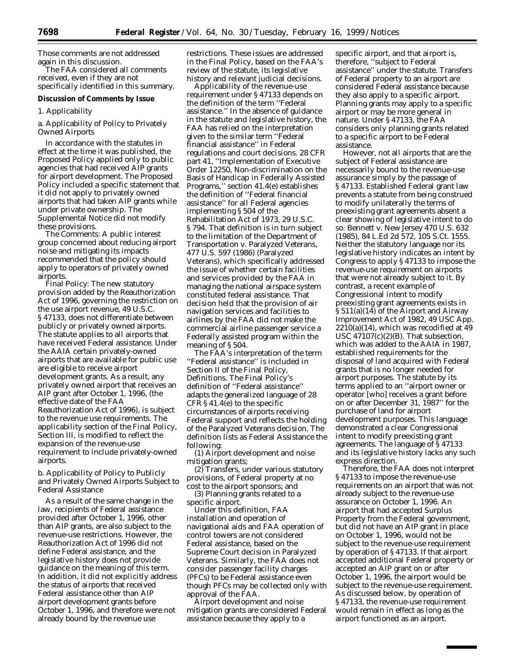Those comments are not addressed again in this discussion.

The FAA considered all comments received, even if they are not specifically identified in this summary.

#### **Discussion of Comments by Issue**

#### *1. Applicability*

a. Applicability of Policy to Privately Owned Airports

In accordance with the statutes in effect at the time it was published, the Proposed Policy applied only to public agencies that had received AIP grants for airport development. The Proposed Policy included a specific statement that it did not apply to privately owned airports that had taken AIP grants while under private ownership. The Supplemental Notice did not modify these provisions.

*The Comments:* A public interest group concerned about reducing airport noise and mitigating its impacts recommended that the policy should apply to operators of privately owned airports.

*Final Policy:* The new statutory provision added by the Reauthorization Act of 1996, governing the restriction on the use airport revenue, 49 U.S.C. § 47133, does not differentiate between publicly or privately owned airports. The statute applies to all airports that have received Federal assistance. Under the AAIA certain privately-owned airports that are available for public use are eligible to receive airport development grants. As a result, any privately owned airport that receives an AIP grant after October 1, 1996, (the effective date of the FAA Reauthorization Act of 1996), is subject to the revenue use requirements. The applicability section of the Final Policy, Section III, is modified to reflect the expansion of the revenue-use requirement to include privately-owned airports.

b. Applicability of Policy to Publicly and Privately Owned Airports Subject to Federal Assistance

As a result of the same change in the law, recipients of Federal assistance provided after October 1, 1996, other than AIP grants, are also subject to the revenue-use restrictions. However, the Reauthorization Act of 1996 did not define Federal assistance, and the legislative history does not provide guidance on the meaning of this term. In addition, it did not explicitly address the status of airports that received Federal assistance other than AIP airport development grants before October 1, 1996, and therefore were not already bound by the revenue use

restrictions. These issues are addressed in the Final Policy, based on the FAA's review of the statute, its legislative history and relevant judicial decisions.

Applicability of the revenue-use requirement under § 47133 depends on the definition of the term ''Federal assistance.'' In the absence of guidance in the statute and legislative history, the FAA has relied on the interpretation given to the similar term ''Federal financial assistance'' in Federal regulations and court decisions. 28 CFR part 41, ''Implementation of Executive Order 12250, Non-discrimination on the Basis of Handicap in Federally Assisted Programs,'' section 41.4(e) establishes the definition of ''Federal financial assistance'' for all Federal agencies implementing § 504 of the Rehabilitation Act of 1973, 29 U.S.C. § 794. That definition is in turn subject to the limitation of the Department of Transportation v. Paralyzed Veterans, 477 U.S. 597 (1986) (Paralyzed Veterans), which specifically addressed the issue of whether certain facilities and services provided by the FAA in managing the national airspace system constituted federal assistance. That decision held that the provision of air navigation services and facilities to airlines by the FAA did not make the commercial airline passenger service a Federally assisted program within the meaning of § 504.

The FAA's interpretation of the term ''Federal assistance'' is included in Section II of the Final Policy, Definitions. The Final Policy's definition of ''Federal assistance'' adapts the generalized language of 28 CFR § 41.4(e) to the specific circumstances of airports receiving Federal support and reflects the holding of the Paralyzed Veterans decision. The definition lists as Federal Assistance the following:

(1) Airport development and noise mitigation grants;

(2) Transfers, under various statutory provisions, of Federal property at no cost to the airport sponsors; and

(3) Planning grants related to a specific airport.

Under this definition, FAA installation and operation of navigational aids and FAA operation of control towers are not considered Federal assistance, based on the Supreme Court decision in Paralyzed Veterans. Similarly, the FAA does not consider passenger facility charges (PFCs) to be Federal assistance even though PFCs may be collected only with approval of the FAA.

Airport development and noise mitigation grants are considered Federal assistance because they apply to a

specific airport, and that airport is, therefore, ''subject to Federal assistance'' under the statute. Transfers of Federal property to an airport are considered Federal assistance because they also apply to a specific airport. Planning grants may apply to a specific airport or may be more general in nature. Under § 47133, the FAA considers only planning grants related to a specific airport to be Federal assistance.

However, not all airports that are the subject of Federal assistance are necessarily bound to the revenue-use assurance simply by the passage of § 47133. Established Federal grant law prevents a statute from being construed to modify unilaterally the terms of preexisting grant agreements absent a clear showing of legislative intent to do so. *Bennett* v. *New Jersey* 470 U.S. 632 (1985), 84 L.Ed 2d 572, 105 S.Ct. 1555. Neither the statutory language nor its legislative history indicates an intent by Congress to apply § 47133 to impose the revenue-use requirement on airports that were not already subject to it. By contrast, a recent example of Congressional intent to modify preexisting grant agreements exists in § 511(a)(14) of the Airport and Airway Improvement Act of 1982, 49 USC App.  $2210(a)(14)$ , which was recodified at 49 USC 47107(c)(2)(B). That subsection, which was added to the AAIA in 1987, established requirements for the disposal of land acquired with Federal grants that is no longer needed for airport purposes. The statute by its terms applied to an ''airport owner or operator [who] receives a grant before on or after December 31, 1987'' for the purchase of land for airport development purposes. This language demonstrated a clear Congressional intent to modify preexisting grant agreements. The language of § 47133 and its legislative history lacks any such express direction.

Therefore, the FAA does not interpret § 47133 to impose the revenue-use requirements on an airport that was not already subject to the revenue-use assurance on October 1, 1996. An airport that had accepted Surplus Property from the Federal government, but did not have an AIP grant in place on October 1, 1996, would not be subject to the revenue-use requirement by operation of § 47133. If that airport accepted additional Federal property or accepted an AIP grant on or after October 1, 1996, the airport would be subject to the revenue-use requirement. As discussed below, by operation of § 47133, the revenue-use requirement would remain in effect as long as the airport functioned as an airport.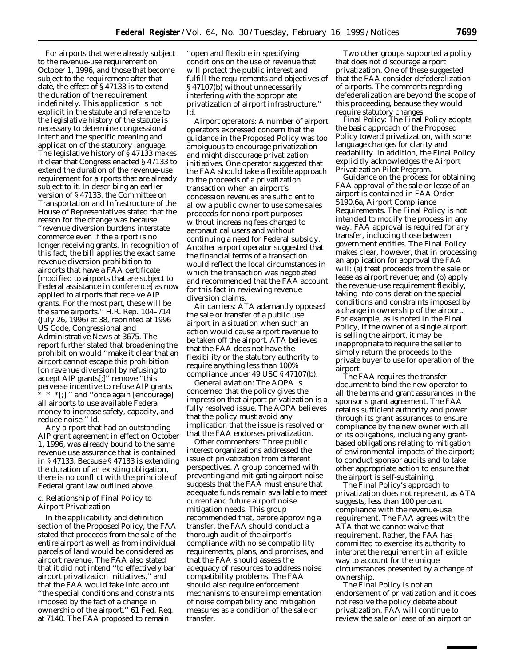For airports that were already subject to the revenue-use requirement on October 1, 1996, and those that become subject to the requirement after that date, the effect of § 47133 is to extend the duration of the requirement indefinitely. This application is not explicit in the statute and reference to the legislative history of the statute is necessary to determine congressional intent and the specific meaning and application of the statutory language. The legislative history of § 47133 makes it clear that Congress enacted § 47133 to extend the duration of the revenue-use requirement for airports that are already subject to it. In describing an earlier version of § 47133, the Committee on Transportation and Infrastructure of the House of Representatives stated that the reason for the change was because ''revenue diversion burdens interstate commerce even if the airport is no longer receiving grants. In recognition of this fact, the bill applies the exact same revenue diversion prohibition to airports that have a FAA certificate [modified to airports that are subject to Federal assistance in conference] as now applied to airports that receive AIP grants. For the most part, these will be the same airports.'' H.R. Rep. 104–714 (July 26, 1996) at 38, reprinted at 1996 US Code, Congressional and Administrative News at 3675. The report further stated that broadening the prohibition would ''make it clear that an airport cannot escape this prohibition [on revenue diversion] by refusing to accept AIP grants[;]'' remove ''this perverse incentive to refuse AIP grants \* \* \*[;].'' and ''once again [encourage] all airports to use available Federal money to increase safety, capacity, and reduce noise.'' *Id.*

Any airport that had an outstanding AIP grant agreement in effect on October 1, 1996, was already bound to the same revenue use assurance that is contained in § 47133. Because § 47133 is extending the duration of an existing obligation, there is no conflict with the principle of Federal grant law outlined above.

# c. Relationship of Final Policy to Airport Privatization

In the applicability and definition section of the Proposed Policy, the FAA stated that proceeds from the sale of the entire airport as well as from individual parcels of land would be considered as airport revenue. The FAA also stated that it did not intend ''to effectively bar airport privatization initiatives,'' and that the FAA would take into account ''the special conditions and constraints imposed by the fact of a change in ownership of the airport.'' 61 Fed. Reg. at 7140. The FAA proposed to remain

''open and flexible in specifying conditions on the use of revenue that will protect the public interest and fulfill the requirements and objectives of § 47107(b) without unnecessarily interfering with the appropriate privatization of airport infrastructure.'' *Id.*

*Airport operators:* A number of airport operators expressed concern that the guidance in the Proposed Policy was too ambiguous to encourage privatization and might discourage privatization initiatives. One operator suggested that the FAA should take a flexible approach to the proceeds of a privatization transaction when an airport's concession revenues are sufficient to allow a public owner to use some sales proceeds for nonairport purposes without increasing fees charged to aeronautical users and without continuing a need for Federal subsidy. Another airport operator suggested that the financial terms of a transaction would reflect the local circumstances in which the transaction was negotiated and recommended that the FAA account for this fact in reviewing revenue diversion claims.

*Air carriers:* ATA adamantly opposed the sale or transfer of a public use airport in a situation when such an action would cause airport revenue to be taken off the airport. ATA believes that the FAA does not have the flexibility or the statutory authority to require anything less than 100% compliance under 49 USC § 47107(b).

*General aviation:* The AOPA is concerned that the policy gives the impression that airport privatization is a fully resolved issue. The AOPA believes that the policy must avoid any implication that the issue is resolved or that the FAA endorses privatization.

*Other commenters:* Three public interest organizations addressed the issue of privatization from different perspectives. A group concerned with preventing and mitigating airport noise suggests that the FAA must ensure that adequate funds remain available to meet current and future airport noise mitigation needs. This group recommended that, before approving a transfer, the FAA should conduct a thorough audit of the airport's compliance with noise compatibility requirements, plans, and promises, and that the FAA should assess the adequacy of resources to address noise compatibility problems. The FAA should also require enforcement mechanisms to ensure implementation of noise compatibility and mitigation measures as a condition of the sale or transfer.

Two other groups supported a policy that does not discourage airport privatization. One of these suggested that the FAA consider defederalization of airports. The comments regarding defederalization are beyond the scope of this proceeding, because they would require statutory changes.

*Final Policy:* The Final Policy adopts the basic approach of the Proposed Policy toward privatization, with some language changes for clarity and readability. In addition, the Final Policy explicitly acknowledges the Airport Privatization Pilot Program.

Guidance on the process for obtaining FAA approval of the sale or lease of an airport is contained in FAA Order 5190.6a, Airport Compliance Requirements. The Final Policy is not intended to modify the process in any way. FAA approval is required for any transfer, including those between government entities. The Final Policy makes clear, however, that in processing an application for approval the FAA will: (a) treat proceeds from the sale or lease as airport revenue; and (b) apply the revenue-use requirement flexibly, taking into consideration the special conditions and constraints imposed by a change in ownership of the airport. For example, as is noted in the Final Policy, if the owner of a single airport is selling the airport, it may be inappropriate to require the seller to simply return the proceeds to the private buyer to use for operation of the airport.

The FAA requires the transfer document to bind the new operator to all the terms and grant assurances in the sponsor's grant agreement. The FAA retains sufficient authority and power through its grant assurances to ensure compliance by the new owner with all of its obligations, including any grantbased obligations relating to mitigation of environmental impacts of the airport; to conduct sponsor audits and to take other appropriate action to ensure that the airport is self-sustaining.

The Final Policy's approach to privatization does not represent, as ATA suggests, less than 100 percent compliance with the revenue-use requirement. The FAA agrees with the ATA that we cannot waive that requirement. Rather, the FAA has committed to exercise its authority to interpret the requirement in a flexible way to account for the unique circumstances presented by a change of ownership.

The Final Policy is not an endorsement of privatization and it does not resolve the policy debate about privatization. FAA will continue to review the sale or lease of an airport on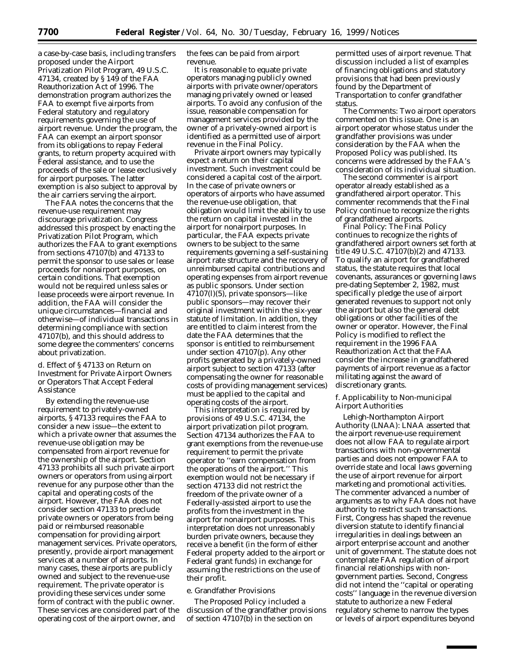a case-by-case basis, including transfers proposed under the Airport Privatization Pilot Program, 49 U.S.C. 47134, created by § 149 of the FAA Reauthorization Act of 1996. The demonstration program authorizes the FAA to exempt five airports from Federal statutory and regulatory requirements governing the use of airport revenue. Under the program, the FAA can exempt an airport sponsor from its obligations to repay Federal grants, to return property acquired with Federal assistance, and to use the proceeds of the sale or lease exclusively for airport purposes. The latter exemption is also subject to approval by the air carriers serving the airport.

The FAA notes the concerns that the revenue-use requirement may discourage privatization. Congress addressed this prospect by enacting the Privatization Pilot Program, which authorizes the FAA to grant exemptions from sections 47107(b) and 47133 to permit the sponsor to use sales or lease proceeds for nonairport purposes, on certain conditions. That exemption would not be required unless sales or lease proceeds were airport revenue. In addition, the FAA will consider the unique circumstances—financial and otherwise—of individual transactions in determining compliance with section 47107(b), and this should address to some degree the commenters' concerns about privatization.

d. Effect of § 47133 on Return on Investment for Private Airport Owners or Operators That Accept Federal Assistance

By extending the revenue-use requirement to privately-owned airports, § 47133 requires the FAA to consider a new issue—the extent to which a private owner that assumes the revenue-use obligation may be compensated from airport revenue for the ownership of the airport. Section 47133 prohibits all such private airport owners or operators from using airport revenue for any purpose other than the capital and operating costs of the airport. However, the FAA does not consider section 47133 to preclude private owners or operators from being paid or reimbursed reasonable compensation for providing airport management services. Private operators, presently, provide airport management services at a number of airports. In many cases, these airports are publicly owned and subject to the revenue-use requirement. The private operator is providing these services under some form of contract with the public owner. These services are considered part of the operating cost of the airport owner, and

the fees can be paid from airport revenue.

It is reasonable to equate private operators managing publicly owned airports with private owner/operators managing privately owned or leased airports. To avoid any confusion of the issue, reasonable compensation for management services provided by the owner of a privately-owned airport is identified as a permitted use of airport revenue in the Final Policy.

Private airport owners may typically expect a return on their capital investment. Such investment could be considered a capital cost of the airport. In the case of private owners or operators of airports who have assumed the revenue-use obligation, that obligation would limit the ability to use the return on capital invested in the airport for nonairport purposes. In particular, the FAA expects private owners to be subject to the same requirements governing a self-sustaining airport rate structure and the recovery of unreimbursed capital contributions and operating expenses from airport revenue as public sponsors. Under section 47107(l)(5), private sponsors—like public sponsors—may recover their original investment within the six-year statute of limitation. In addition, they are entitled to claim interest from the date the FAA determines that the sponsor is entitled to reimbursement under section 47107(p). Any other profits generated by a privately-owned airport subject to section 47133 (after compensating the owner for reasonable costs of providing management services) must be applied to the capital and operating costs of the airport.

This interpretation is required by provisions of 49 U.S.C. 47134, the airport privatization pilot program. Section 47134 authorizes the FAA to grant exemptions from the revenue-use requirement to permit the private operator to ''earn compensation from the operations of the airport.'' This exemption would not be necessary if section 47133 did not restrict the freedom of the private owner of a Federally-assisted airport to use the profits from the investment in the airport for nonairport purposes. This interpretation does not unreasonably burden private owners, because they receive a benefit (in the form of either Federal property added to the airport or Federal grant funds) in exchange for assuming the restrictions on the use of their profit.

### e. Grandfather Provisions

The Proposed Policy included a discussion of the grandfather provisions of section 47107(b) in the section on

permitted uses of airport revenue. That discussion included a list of examples of financing obligations and statutory provisions that had been previously found by the Department of Transportation to confer grandfather status.

*The Comments:* Two airport operators commented on this issue. One is an airport operator whose status under the grandfather provisions was under consideration by the FAA when the Proposed Policy was published. Its concerns were addressed by the FAA's consideration of its individual situation.

The second commenter is airport operator already established as a grandfathered airport operator. This commenter recommends that the Final Policy continue to recognize the rights of grandfathered airports.

*Final Policy:* The Final Policy continues to recognize the rights of grandfathered airport owners set forth at title 49 U.S.C. 47107(b)(2) and 47133. To qualify an airport for grandfathered status, the statute requires that local covenants, assurances or governing laws pre-dating September 2, 1982, must specifically pledge the use of airport generated revenues to support not only the airport but also the general debt obligations or other facilities of the owner or operator. However, the Final Policy is modified to reflect the requirement in the 1996 FAA Reauthorization Act that the FAA consider the increase in grandfathered payments of airport revenue as a factor militating against the award of discretionary grants.

f. Applicability to Non-municipal Airport Authorities

*Lehigh-Northampton Airport Authority (LNAA):* LNAA asserted that the airport revenue-use requirement does not allow FAA to regulate airport transactions with non-governmental parties and does not empower FAA to override state and local laws governing the use of airport revenue for airport marketing and promotional activities. The commenter advanced a number of arguments as to why FAA does not have authority to restrict such transactions. First, Congress has shaped the revenue diversion statute to identify financial irregularities in dealings between an airport enterprise account and another unit of government. The statute does not contemplate FAA regulation of airport financial relationships with nongovernment parties. Second, Congress did not intend the ''capital or operating costs'' language in the revenue diversion statute to authorize a new Federal regulatory scheme to narrow the types or levels of airport expenditures beyond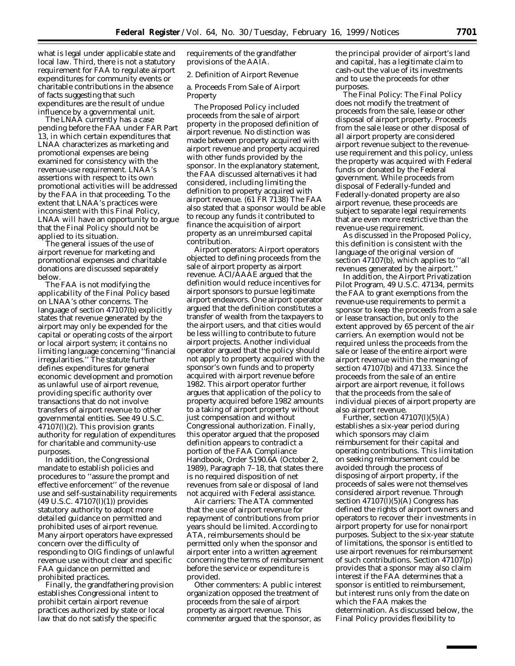what is legal under applicable state and local law. Third, there is not a statutory requirement for FAA to regulate airport expenditures for community events or charitable contributions in the absence of facts suggesting that such expenditures are the result of undue influence by a governmental unit.

The LNAA currently has a case pending before the FAA under FAR Part 13, in which certain expenditures that LNAA characterizes as marketing and promotional expenses are being examined for consistency with the revenue-use requirement. LNAA's assertions with respect to its own promotional activities will be addressed by the FAA in that proceeding. To the extent that LNAA's practices were inconsistent with this Final Policy, LNAA will have an opportunity to argue that the Final Policy should not be applied to its situation.

The general issues of the use of airport revenue for marketing and promotional expenses and charitable donations are discussed separately below.

The FAA is not modifying the applicability of the Final Policy based on LNAA's other concerns. The language of section 47107(b) explicitly states that revenue generated by the airport may only be expended for the capital or operating costs of the airport or local airport system; it contains no limiting language concerning ''financial irregularities.'' The statute further defines expenditures for general economic development and promotion as unlawful use of airport revenue, providing specific authority over transactions that do not involve transfers of airport revenue to other governmental entities. See 49 U.S.C. 47107(l)(2). This provision grants authority for regulation of expenditures for charitable and community-use purposes.

In addition, the Congressional mandate to establish policies and procedures to ''assure the prompt and effective enforcement'' of the revenue use and self-sustainability requirements (49 U.S.C. 47107(l)(1)) provides statutory authority to adopt more detailed guidance on permitted and prohibited uses of airport revenue. Many airport operators have expressed concern over the difficulty of responding to OIG findings of unlawful revenue use without clear and specific FAA guidance on permitted and prohibited practices.

Finally, the grandfathering provision establishes Congressional intent to prohibit certain airport revenue practices authorized by state or local law that do not satisfy the specific

requirements of the grandfather provisions of the AAIA.

# *2. Definition of Airport Revenue*

a. Proceeds From Sale of Airport Property

The Proposed Policy included proceeds from the sale of airport property in the proposed definition of airport revenue. No distinction was made between property acquired with airport revenue and property acquired with other funds provided by the sponsor. In the explanatory statement, the FAA discussed alternatives it had considered, including limiting the definition to property acquired with airport revenue. (61 FR 7138) The FAA also stated that a sponsor would be able to recoup any funds it contributed to finance the acquisition of airport property as an unreimbursed capital contribution.

*Airport operators:* Airport operators objected to defining proceeds from the sale of airport property as airport revenue. ACI/AAAE argued that the definition would reduce incentives for airport sponsors to pursue legitimate airport endeavors. One airport operator argued that the definition constitutes a transfer of wealth from the taxpayers to the airport users, and that cities would be less willing to contribute to future airport projects. Another individual operator argued that the policy should not apply to property acquired with the sponsor's own funds and to property acquired with airport revenue before 1982. This airport operator further argues that application of the policy to property acquired before 1982 amounts to a taking of airport property without just compensation and without Congressional authorization. Finally, this operator argued that the proposed definition appears to contradict a portion of the FAA Compliance Handbook, Order 5190.6A (October 2, 1989), Paragraph 7–18, that states there is no required disposition of net revenues from sale or disposal of land not acquired with Federal assistance.

*Air carriers:* The ATA commented that the use of airport revenue for repayment of contributions from prior years should be limited. According to ATA, reimbursements should be permitted only when the sponsor and airport enter into a written agreement concerning the terms of reimbursement before the service or expenditure is provided.

*Other commenters:* A public interest organization opposed the treatment of proceeds from the sale of airport property as airport revenue. This commenter argued that the sponsor, as

the principal provider of airport's land and capital, has a legitimate claim to cash-out the value of its investments and to use the proceeds for other purposes.

*The Final Policy:* The Final Policy does not modify the treatment of proceeds from the sale, lease or other disposal of airport property. Proceeds from the sale lease or other disposal of all airport property are considered airport revenue subject to the revenueuse requirement and this policy, unless the property was acquired with Federal funds or donated by the Federal government. While proceeds from disposal of Federally-funded and Federally-donated property are also airport revenue, these proceeds are subject to separate legal requirements that are even more restrictive than the revenue-use requirement.

As discussed in the Proposed Policy, this definition is consistent with the language of the original version of section 47107(b), which applies to ''all revenues generated by the airport.''

In addition, the Airport Privatization Pilot Program, 49 U.S.C. 47134, permits the FAA to grant exemptions from the revenue-use requirements to permit a sponsor to keep the proceeds from a sale or lease transaction, but only to the extent approved by 65 percent of the air carriers. An exemption would not be required unless the proceeds from the sale or lease of the entire airport were airport revenue within the meaning of section 47107(b) and 47133. Since the proceeds from the sale of an entire airport are airport revenue, it follows that the proceeds from the sale of individual pieces of airport property are also airport revenue.

Further, section 47107(l)(5)(A) establishes a six-year period during which sponsors may claim reimbursement for their capital and operating contributions. This limitation on seeking reimbursement could be avoided through the process of disposing of airport property, if the proceeds of sales were not themselves considered airport revenue. Through section  $47107(l)(5)(A)$  Congress has defined the rights of airport owners and operators to recover their investments in airport property for use for nonairport purposes. Subject to the six-year statute of limitations, the sponsor is entitled to use airport revenues for reimbursement of such contributions. Section 47107(p) provides that a sponsor may also claim interest if the FAA determines that a sponsor is entitled to reimbursement, but interest runs only from the date on which the FAA makes the determination. As discussed below, the Final Policy provides flexibility to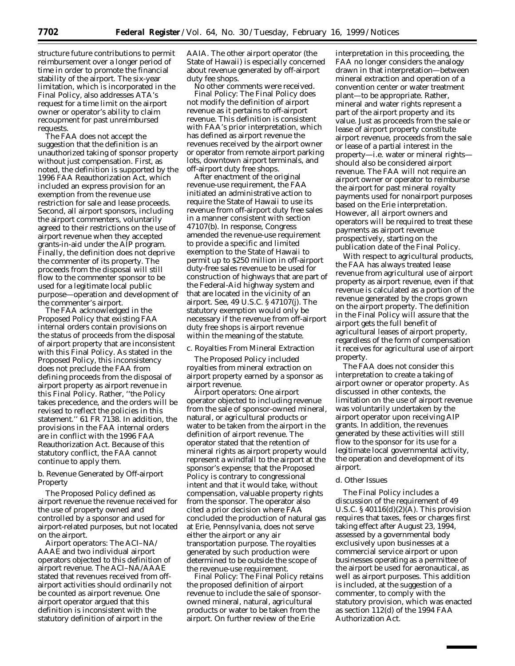structure future contributions to permit reimbursement over a longer period of time in order to promote the financial stability of the airport. The six-year limitation, which is incorporated in the Final Policy, also addresses ATA's request for a time limit on the airport owner or operator's ability to claim recoupment for past unreimbursed requests.

The FAA does not accept the suggestion that the definition is an unauthorized taking of sponsor property without just compensation. First, as noted, the definition is supported by the 1996 FAA Reauthorization Act, which included an express provision for an exemption from the revenue use restriction for sale and lease proceeds. Second, all airport sponsors, including the airport commenters, voluntarily agreed to their restrictions on the use of airport revenue when they accepted grants-in-aid under the AIP program. Finally, the definition does not deprive the commenter of its property. The proceeds from the disposal will still flow to the commenter sponsor to be used for a legitimate local public purpose—operation and development of the commenter's airport.

The FAA acknowledged in the Proposed Policy that existing FAA internal orders contain provisions on the status of proceeds from the disposal of airport property that are inconsistent with this Final Policy. As stated in the Proposed Policy, this inconsistency does not preclude the FAA from defining proceeds from the disposal of airport property as airport revenue in this Final Policy. Rather, ''the Policy takes precedence, and the orders will be revised to reflect the policies in this statement.'' 61 FR 7138. In addition, the provisions in the FAA internal orders are in conflict with the 1996 FAA Reauthorization Act. Because of this statutory conflict, the FAA cannot continue to apply them.

b. Revenue Generated by Off-airport Property

The Proposed Policy defined as airport revenue the revenue received for the use of property owned and controlled by a sponsor and used for airport-related purposes, but not located on the airport.

*Airport operators:* The ACI–NA/ AAAE and two individual airport operators objected to this definition of airport revenue. The ACI–NA/AAAE stated that revenues received from offairport activities should ordinarily not be counted as airport revenue. One airport operator argued that this definition is inconsistent with the statutory definition of airport in the

AAIA. The other airport operator (the State of Hawaii) is especially concerned about revenue generated by off-airport duty fee shops.

No other comments were received. *Final Policy:* The Final Policy does not modify the definition of airport revenue as it pertains to off-airport revenue. This definition is consistent with FAA's prior interpretation, which has defined as airport revenue the revenues received by the airport owner or operator from remote airport parking lots, downtown airport terminals, and off-airport duty free shops.

After enactment of the original revenue-use requirement, the FAA initiated an administrative action to require the State of Hawaii to use its revenue from off-airport duty free sales in a manner consistent with section 47107(b). In response, Congress amended the revenue-use requirement to provide a specific and limited exemption to the State of Hawaii to permit up to \$250 million in off-airport duty-free sales revenue to be used for construction of highways that are part of the Federal-Aid highway system and that are located in the vicinity of an airport. See, 49 U.S.C. § 47107(j). The statutory exemption would only be necessary if the revenue from off-airport duty free shops is airport revenue within the meaning of the statute.

c. Royalties From Mineral Extraction

The Proposed Policy included royalties from mineral extraction on airport property earned by a sponsor as airport revenue.

*Airport operators:* One airport operator objected to including revenue from the sale of sponsor-owned mineral, natural, or agricultural products or water to be taken from the airport in the definition of airport revenue. The operator stated that the retention of mineral rights as airport property would represent a windfall to the airport at the sponsor's expense; that the Proposed Policy is contrary to congressional intent and that it would take, without compensation, valuable property rights from the sponsor. The operator also cited a prior decision where FAA concluded the production of natural gas at Erie, Pennsylvania, does not serve either the airport or any air transportation purpose. The royalties generated by such production were determined to be outside the scope of the revenue-use requirement.

*Final Policy:* The Final Policy retains the proposed definition of airport revenue to include the sale of sponsorowned mineral, natural, agricultural products or water to be taken from the airport. On further review of the Erie

interpretation in this proceeding, the FAA no longer considers the analogy drawn in that interpretation—between mineral extraction and operation of a convention center or water treatment plant—to be appropriate. Rather, mineral and water rights represent a part of the airport property and its value. Just as proceeds from the sale or lease of airport property constitute airport revenue, proceeds from the sale or lease of a partial interest in the property—i.e. water or mineral rights should also be considered airport revenue. The FAA will not require an airport owner or operator to reimburse the airport for past mineral royalty payments used for nonairport purposes based on the Erie interpretation. However, all airport owners and operators will be required to treat these payments as airport revenue prospectively, starting on the publication date of the Final Policy.

With respect to agricultural products, the FAA has always treated lease revenue from agricultural use of airport property as airport revenue, even if that revenue is calculated as a portion of the revenue generated by the crops grown on the airport property. The definition in the Final Policy will assure that the airport gets the full benefit of agricultural leases of airport property, regardless of the form of compensation it receives for agricultural use of airport property.

The FAA does not consider this interpretation to create a taking of airport owner or operator property. As discussed in other contexts, the limitation on the use of airport revenue was voluntarily undertaken by the airport operator upon receiving AIP grants. In addition, the revenues generated by these activities will still flow to the sponsor for its use for a legitimate local governmental activity, the operation and development of its airport.

#### d. Other Issues

The Final Policy includes a discussion of the requirement of 49 U.S.C.  $\S 40116(d)(2)(A)$ . This provision requires that taxes, fees or charges first taking effect after August 23, 1994, assessed by a governmental body exclusively upon businesses at a commercial service airport or upon businesses operating as a permittee of the airport be used for aeronautical, as well as airport purposes. This addition is included, at the suggestion of a commenter, to comply with the statutory provision, which was enacted as section 112(d) of the 1994 FAA Authorization Act.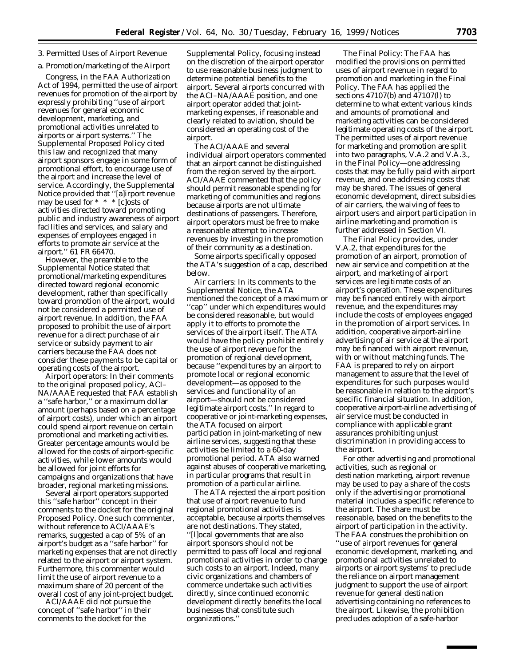# *3. Permitted Uses of Airport Revenue*

# a. Promotion/marketing of the Airport

Congress, in the FAA Authorization Act of 1994, permitted the use of airport revenues for promotion of the airport by expressly prohibiting ''use of airport revenues for general economic development, marketing, and promotional activities unrelated to airports or airport systems.'' The Supplemental Proposed Policy cited this law and recognized that many airport sponsors engage in some form of promotional effort, to encourage use of the airport and increase the level of service. Accordingly, the Supplemental Notice provided that ''[a]irport revenue may be used for \* \* \* [c]osts of activities directed toward promoting public and industry awareness of airport facilities and services, and salary and expenses of employees engaged in efforts to promote air service at the airport.'' 61 FR 66470.

However, the preamble to the Supplemental Notice stated that promotional/marketing expenditures directed toward regional economic development, rather than specifically toward promotion of the airport, would not be considered a permitted use of airport revenue. In addition, the FAA proposed to prohibit the use of airport revenue for a direct purchase of air service or subsidy payment to air carriers because the FAA does not consider these payments to be capital or operating costs of the airport.

*Airport operators:* In their comments to the original proposed policy, ACI– NA/AAAE requested that FAA establish a ''safe harbor,'' or a maximum dollar amount (perhaps based on a percentage of airport costs), under which an airport could spend airport revenue on certain promotional and marketing activities. Greater percentage amounts would be allowed for the costs of airport-specific activities, while lower amounts would be allowed for joint efforts for campaigns and organizations that have broader, regional marketing missions.

Several airport operators supported this ''safe harbor'' concept in their comments to the docket for the original Proposed Policy. One such commenter, without reference to ACI/AAAE's remarks, suggested a cap of 5% of an airport's budget as a ''safe harbor'' for marketing expenses that are not directly related to the airport or airport system. Furthermore, this commenter would limit the use of airport revenue to a maximum share of 20 percent of the overall cost of any joint-project budget.

ACI/AAAE did not pursue the concept of ''safe harbor'' in their comments to the docket for the

Supplemental Policy, focusing instead on the discretion of the airport operator to use reasonable business judgment to determine potential benefits to the airport. Several airports concurred with the ACI–NA/AAAE position, and one airport operator added that jointmarketing expenses, if reasonable and clearly related to aviation, should be considered an operating cost of the airport.

The ACI/AAAE and several individual airport operators commented that an airport cannot be distinguished from the region served by the airport. ACI/AAAE commented that the policy should permit reasonable spending for marketing of communities and regions because airports are not ultimate destinations of passengers. Therefore, airport operators must be free to make a reasonable attempt to increase revenues by investing in the promotion of their community as a destination.

Some airports specifically opposed the ATA's suggestion of a cap, described below.

*Air carriers:* In its comments to the Supplemental Notice, the ATA mentioned the concept of a maximum or ''cap'' under which expenditures would be considered reasonable, but would apply it to efforts to promote the services of the airport itself. The ATA would have the policy prohibit entirely the use of airport revenue for the promotion of regional development, because ''expenditures by an airport to promote local or regional economic development—as opposed to the services and functionality of an airport—should not be considered legitimate airport costs.'' In regard to cooperative or joint-marketing expenses, the ATA focused on airport participation in joint-marketing of new airline services, suggesting that these activities be limited to a 60-day promotional period. ATA also warned against abuses of cooperative marketing, in particular programs that result in promotion of a particular airline.

The ATA rejected the airport position that use of airport revenue to fund regional promotional activities is acceptable, because airports themselves are not destinations. They stated, ''[l]ocal governments that are also airport sponsors should not be permitted to pass off local and regional promotional activities in order to charge such costs to an airport. Indeed, many civic organizations and chambers of commerce undertake such activities directly, since continued economic development directly benefits the local businesses that constitute such organizations.''

*The Final Policy:* The FAA has modified the provisions on permitted uses of airport revenue in regard to promotion and marketing in the Final Policy. The FAA has applied the sections 47107(b) and 47107(l) to determine to what extent various kinds and amounts of promotional and marketing activities can be considered legitimate operating costs of the airport. The permitted uses of airport revenue for marketing and promotion are split into two paragraphs, V.A.2 and V.A.3., in the Final Policy—one addressing costs that may be fully paid with airport revenue, and one addressing costs that may be shared. The issues of general economic development, direct subsidies of air carriers, the waiving of fees to airport users and airport participation in airline marketing and promotion is further addressed in Section VI.

The Final Policy provides, under V.A.2, that expenditures for the promotion of an airport, promotion of new air service and competition at the airport, and marketing of airport services are legitimate costs of an airport's operation. These expenditures may be financed entirely with airport revenue, and the expenditures may include the costs of employees engaged in the promotion of airport services. In addition, cooperative airport-airline advertising of air service at the airport may be financed with airport revenue, with or without matching funds. The FAA is prepared to rely on airport management to assure that the level of expenditures for such purposes would be reasonable in relation to the airport's specific financial situation. In addition, cooperative airport-airline advertising of air service must be conducted in compliance with applicable grant assurances prohibiting unjust discrimination in providing access to the airport.

For other advertising and promotional activities, such as regional or destination marketing, airport revenue may be used to pay a share of the costs only if the advertising or promotional material includes a specific reference to the airport. The share must be reasonable, based on the benefits to the airport of participation in the activity. The FAA construes the prohibition on ''use of airport revenues for general economic development, marketing, and promotional activities unrelated to airports or airport systems' to preclude the reliance on airport management judgment to support the use of airport revenue for general destination advertising containing no references to the airport. Likewise, the prohibition precludes adoption of a safe-harbor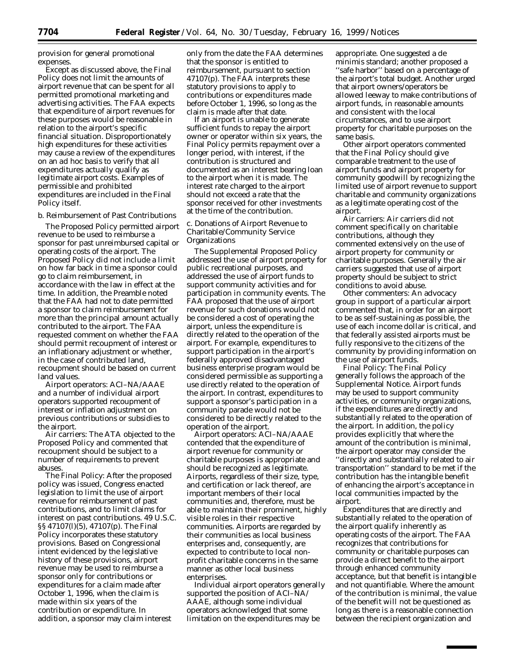provision for general promotional expenses.

Except as discussed above, the Final Policy does not limit the amounts of airport revenue that can be spent for all permitted promotional marketing and advertising activities. The FAA expects that expenditure of airport revenues for these purposes would be reasonable in relation to the airport's specific financial situation. Disproportionately high expenditures for these activities may cause a review of the expenditures on an *ad hoc* basis to verify that all expenditures actually qualify as legitimate airport costs. Examples of permissible and prohibited expenditures are included in the Final Policy itself.

b. Reimbursement of Past Contributions

The Proposed Policy permitted airport revenue to be used to reimburse a sponsor for past unreimbursed capital or operating costs of the airport. The Proposed Policy did not include a limit on how far back in time a sponsor could go to claim reimbursement, in accordance with the law in effect at the time. In addition, the Preamble noted that the FAA had not to date permitted a sponsor to claim reimbursement for more than the principal amount actually contributed to the airport. The FAA requested comment on whether the FAA should permit recoupment of interest or an inflationary adjustment or whether, in the case of contributed land, recoupment should be based on current land values.

*Airport operators:* ACI–NA/AAAE and a number of individual airport operators supported recoupment of interest or inflation adjustment on previous contributions or subsidies to the airport.

*Air carriers:* The ATA objected to the Proposed Policy and commented that recoupment should be subject to a number of requirements to prevent abuses.

*The Final Policy:* After the proposed policy was issued, Congress enacted legislation to limit the use of airport revenue for reimbursement of past contributions, and to limit claims for interest on past contributions. 49 U.S.C. §§ 47107(l)(5), 47107(p). The Final Policy incorporates these statutory provisions. Based on Congressional intent evidenced by the legislative history of these provisions, airport revenue may be used to reimburse a sponsor only for contributions or expenditures for a claim made after October 1, 1996, when the claim is made within six years of the contribution or expenditure. In addition, a sponsor may claim interest

only from the date the FAA determines that the sponsor is entitled to reimbursement, pursuant to section 47107(p). The FAA interprets these statutory provisions to apply to contributions or expenditures made before October 1, 1996, so long as the claim is made after that date.

If an airport is unable to generate sufficient funds to repay the airport owner or operator within six years, the Final Policy permits repayment over a longer period, with interest, if the contribution is structured and documented as an interest bearing loan to the airport when it is made. The interest rate charged to the airport should not exceed a rate that the sponsor received for other investments at the time of the contribution.

## c. Donations of Airport Revenue to Charitable/Community Service **Organizations**

The Supplemental Proposed Policy addressed the use of airport property for public recreational purposes, and addressed the use of airport funds to support community activities and for participation in community events. The FAA proposed that the use of airport revenue for such donations would not be considered a cost of operating the airport, unless the expenditure is directly related to the operation of the airport. For example, expenditures to support participation in the airport's federally approved disadvantaged business enterprise program would be considered permissible as supporting a use directly related to the operation of the airport. In contrast, expenditures to support a sponsor's participation in a community parade would not be considered to be directly related to the operation of the airport.

*Airport operators:* ACI–NA/AAAE contended that the expenditure of airport revenue for community or charitable purposes is appropriate and should be recognized as legitimate. Airports, regardless of their size, type, and certification or lack thereof, are important members of their local communities and, therefore, must be able to maintain their prominent, highly visible roles in their respective communities. Airports are regarded by their communities as local business enterprises and, consequently, are expected to contribute to local nonprofit charitable concerns in the same manner as other local business enterprises.

Individual airport operators generally supported the position of ACI–NA/ AAAE, although some individual operators acknowledged that some limitation on the expenditures may be

appropriate. One suggested a *de minimis* standard; another proposed a ''safe harbor'' based on a percentage of the airport's total budget. Another urged that airport owners/operators be allowed leeway to make contributions of airport funds, in reasonable amounts and consistent with the local circumstances, and to use airport property for charitable purposes on the same basis.

Other airport operators commented that the Final Policy should give comparable treatment to the use of airport funds and airport property for community goodwill by recognizing the limited use of airport revenue to support charitable and community organizations as a legitimate operating cost of the airport.

*Air carriers:* Air carriers did not comment specifically on charitable contributions, although they commented extensively on the use of airport property for community or charitable purposes. Generally the air carriers suggested that use of airport property should be subject to strict conditions to avoid abuse.

*Other commenters:* An advocacy group in support of a particular airport commented that, in order for an airport to be as self-sustaining as possible, the use of each income dollar is critical, and that federally assisted airports must be fully responsive to the citizens of the community by providing information on the use of airport funds.

*Final Policy:* The Final Policy generally follows the approach of the Supplemental Notice. Airport funds may be used to support community activities, or community organizations, if the expenditures are directly and substantially related to the operation of the airport. In addition, the policy provides explicitly that where the amount of the contribution is minimal, the airport operator may consider the ''directly and substantially related to air transportation'' standard to be met if the contribution has the intangible benefit of enhancing the airport's acceptance in local communities impacted by the airport.

Expenditures that are directly and substantially related to the operation of the airport qualify inherently as operating costs of the airport. The FAA recognizes that contributions for community or charitable purposes can provide a direct benefit to the airport through enhanced community acceptance, but that benefit is intangible and not quantifiable. Where the amount of the contribution is minimal, the value of the benefit will not be questioned as long as there is a reasonable connection between the recipient organization and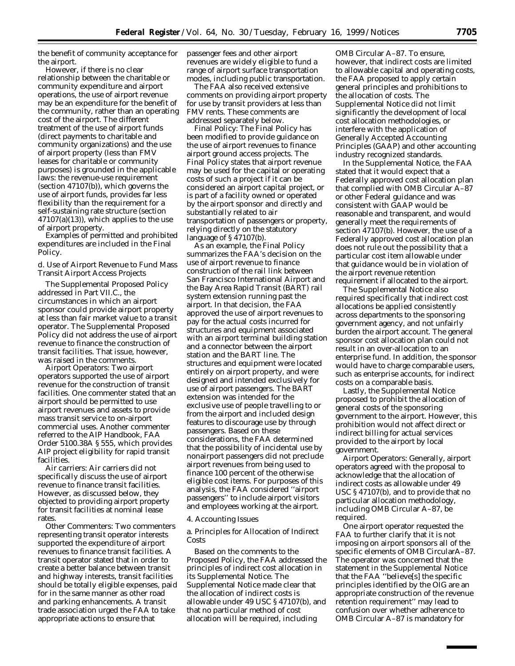the benefit of community acceptance for the airport.

However, if there is no clear relationship between the charitable or community expenditure and airport operations, the use of airport revenue may be an expenditure for the benefit of the community, rather than an operating cost of the airport. The different treatment of the use of airport funds (direct payments to charitable and community organizations) and the use of airport property (less than FMV leases for charitable or community purposes) is grounded in the applicable laws: the revenue-use requirement (section 47107(b)), which governs the use of airport funds, provides far less flexibility than the requirement for a self-sustaining rate structure (section  $47107(a)(13)$ , which applies to the use of airport property.

Examples of permitted and prohibited expenditures are included in the Final Policy.

d. Use of Airport Revenue to Fund Mass Transit Airport Access Projects

The Supplemental Proposed Policy addressed in Part VII.C., the circumstances in which an airport sponsor could provide airport property at less than fair market value to a transit operator. The Supplemental Proposed Policy did not address the use of airport revenue to finance the construction of transit facilities. That issue, however, was raised in the comments.

*Airport Operators:* Two airport operators supported the use of airport revenue for the construction of transit facilities. One commenter stated that an airport should be permitted to use airport revenues and assets to provide mass transit service to on-airport commercial uses. Another commenter referred to the AIP Handbook, FAA Order 5100.38A § 555, which provides AIP project eligibility for rapid transit facilities.

*Air carriers:* Air carriers did not specifically discuss the use of airport revenue to finance transit facilities. However, as discussed below, they objected to providing airport property for transit facilities at nominal lease rates.

*Other Commenters:* Two commenters representing transit operator interests supported the expenditure of airport revenues to finance transit facilities. A transit operator stated that in order to create a better balance between transit and highway interests, transit facilities should be totally eligible expenses, paid for in the same manner as other road and parking enhancements. A transit trade association urged the FAA to take appropriate actions to ensure that

passenger fees and other airport revenues are widely eligible to fund a range of airport surface transportation modes, including public transportation.

The FAA also received extensive comments on providing airport property for use by transit providers at less than FMV rents. These comments are addressed separately below.

*Final Policy:* The Final Policy has been modified to provide guidance on the use of airport revenues to finance airport ground access projects. The Final Policy states that airport revenue may be used for the capital or operating costs of such a project if it can be considered an airport capital project, or is part of a facility owned or operated by the airport sponsor and directly and substantially related to air transportation of passengers or property, relying directly on the statutory language of § 47107(b).

As an example, the Final Policy summarizes the FAA's decision on the use of airport revenue to finance construction of the rail link between San Francisco International Airport and the Bay Area Rapid Transit (BART) rail system extension running past the airport. In that decision, the FAA approved the use of airport revenues to pay for the actual costs incurred for structures and equipment associated with an airport terminal building station and a connector between the airport station and the BART line. The structures and equipment were located entirely on airport property, and were designed and intended exclusively for use of airport passengers. The BART extension was intended for the exclusive use of people travelling to or from the airport and included design features to discourage use by through passengers. Based on these considerations, the FAA determined that the possibility of incidental use by nonairport passengers did not preclude airport revenues from being used to finance 100 percent of the otherwise eligible cost items. For purposes of this analysis, the FAA considered ''airport passengers'' to include airport visitors and employees working at the airport.

### *4. Accounting Issues*

a. Principles for Allocation of Indirect Costs

Based on the comments to the Proposed Policy, the FAA addressed the principles of indirect cost allocation in its Supplemental Notice. The Supplemental Notice made clear that the allocation of indirect costs is allowable under 49 USC § 47107(b), and that no particular method of cost allocation will be required, including

OMB Circular A–87. To ensure, however, that indirect costs are limited to allowable capital and operating costs, the FAA proposed to apply certain general principles and prohibitions to the allocation of costs. The Supplemental Notice did not limit significantly the development of local cost allocation methodologies, or interfere with the application of Generally Accepted Accounting Principles (GAAP) and other accounting industry recognized standards.

In the Supplemental Notice, the FAA stated that it would expect that a Federally approved cost allocation plan that complied with OMB Circular A–87 or other Federal guidance and was consistent with GAAP would be reasonable and transparent, and would generally meet the requirements of section 47107(b). However, the use of a Federally approved cost allocation plan does not rule out the possibility that a particular cost item allowable under that guidance would be in violation of the airport revenue retention requirement if allocated to the airport.

The Supplemental Notice also required specifically that indirect cost allocations be applied consistently across departments to the sponsoring government agency, and not unfairly burden the airport account. The general sponsor cost allocation plan could not result in an over-allocation to an enterprise fund. In addition, the sponsor would have to charge comparable users, such as enterprise accounts, for indirect costs on a comparable basis.

Lastly, the Supplemental Notice proposed to prohibit the allocation of general costs of the sponsoring government to the airport. However, this prohibition would not affect direct or indirect billing for actual services provided to the airport by local government.

*Airport Operators:* Generally, airport operators agreed with the proposal to acknowledge that the allocation of indirect costs as allowable under 49 USC § 47107(b), and to provide that no particular allocation methodology, including OMB Circular A–87, be required.

One airport operator requested the FAA to further clarify that it is not imposing on airport sponsors all of the specific elements of OMB CircularA–87. The operator was concerned that the statement in the Supplemental Notice that the FAA ''believe[s] the specific principles identified by the OIG are an appropriate construction of the revenue retention requirement'' may lead to confusion over whether adherence to OMB Circular A–87 is mandatory for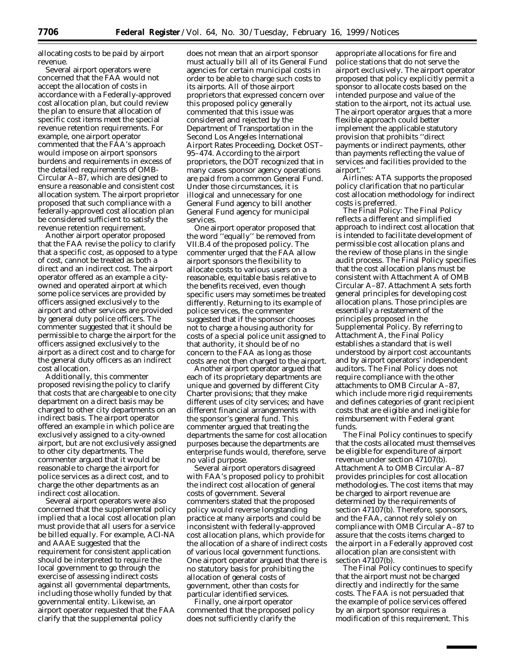allocating costs to be paid by airport revenue.

Several airport operators were concerned that the FAA would not accept the allocation of costs in accordance with a Federally-approved cost allocation plan, but could review the plan to ensure that allocation of specific cost items meet the special revenue retention requirements. For example, one airport operator commented that the FAA's approach would impose on airport sponsors burdens and requirements in excess of the detailed requirements of OMB-Circular A–87, which are designed to ensure a reasonable and consistent cost allocation system. The airport proprietor proposed that such compliance with a federally-approved cost allocation plan be considered sufficient to satisfy the revenue retention requirement.

Another airport operator proposed that the FAA revise the policy to clarify that a specific cost, as opposed to a type of cost, cannot be treated as both a direct and an indirect cost. The airport operator offered as an example a cityowned and operated airport at which some police services are provided by officers assigned exclusively to the airport and other services are provided by general duty police officers. The commenter suggested that it should be permissible to charge the airport for the officers assigned exclusively to the airport as a direct cost and to charge for the general duty officers as an indirect cost allocation.

Additionally, this commenter proposed revising the policy to clarify that costs that are chargeable to one city department on a direct basis may be charged to other city departments on an indirect basis. The airport operator offered an example in which police are exclusively assigned to a city-owned airport, but are not exclusively assigned to other city departments. The commenter argued that it would be reasonable to charge the airport for police services as a direct cost, and to charge the other departments as an indirect cost allocation.

Several airport operators were also concerned that the supplemental policy implied that a local cost allocation plan must provide that all users for a service be billed equally. For example, ACI-NA and AAAE suggested that the requirement for consistent application should be interpreted to require the local government to go through the exercise of assessing indirect costs against all governmental departments, including those wholly funded by that governmental entity. Likewise, an airport operator requested that the FAA clarify that the supplemental policy

does not mean that an airport sponsor must actually bill all of its General Fund agencies for certain municipal costs in order to be able to charge such costs to its airports. All of those airport proprietors that expressed concern over this proposed policy generally commented that this issue was considered and rejected by the Department of Transportation in the Second Los Angeles International Airport Rates Proceeding, Docket OST– 95–474. According to the airport proprietors, the DOT recognized that in many cases sponsor agency operations are paid from a common General Fund. Under those circumstances, it is illogical and unnecessary for one General Fund agency to bill another General Fund agency for municipal services.

One airport operator proposed that the word ''equally'' be removed from VII.B.4 of the proposed policy. The commenter urged that the FAA allow airport sponsors the flexibility to allocate costs to various users on a reasonable, equitable basis relative to the benefits received, even though specific users may sometimes be treated differently. Returning to its example of police services, the commenter suggested that if the sponsor chooses not to charge a housing authority for costs of a special police unit assigned to that authority, it should be of no concern to the FAA as long as those costs are not then charged to the airport.

Another airport operator argued that each of its proprietary departments are unique and governed by different City Charter provisions; that they make different uses of city services; and have different financial arrangements with the sponsor's general fund. This commenter argued that treating the departments the same for cost allocation purposes because the departments are enterprise funds would, therefore, serve no valid purpose.

Several airport operators disagreed with FAA's proposed policy to prohibit the indirect cost allocation of general costs of government. Several commenters stated that the proposed policy would reverse longstanding practice at many airports and could be inconsistent with federally-approved cost allocation plans, which provide for the allocation of a share of indirect costs of various local government functions. One airport operator argued that there is no statutory basis for prohibiting the allocation of general costs of government, other than costs for particular identified services.

Finally, one airport operator commented that the proposed policy does not sufficiently clarify the

appropriate allocations for fire and police stations that do not serve the airport exclusively. The airport operator proposed that policy explicitly permit a sponsor to allocate costs based on the intended purpose and value of the station to the airport, not its actual use. The airport operator argues that a more flexible approach could better implement the applicable statutory provision that prohibits ''direct payments or indirect payments, other than payments reflecting the value of services and facilities provided to the airport.''

Airlines: ATA supports the proposed policy clarification that no particular cost allocation methodology for indirect costs is preferred.

*The Final Policy:* The Final Policy reflects a different and simplified approach to indirect cost allocation that is intended to facilitate development of permissible cost allocation plans and the review of those plans in the single audit process. The Final Policy specifies that the cost allocation plans must be consistent with Attachment A of OMB Circular A–87. Attachment A sets forth general principles for developing cost allocation plans. Those principles are essentially a restatement of the principles proposed in the Supplemental Policy. By referring to Attachment A, the Final Policy establishes a standard that is well understood by airport cost accountants and by airport operators' independent auditors. The Final Policy does not require compliance with the other attachments to OMB Circular A–87, which include more rigid requirements and defines categories of grant recipient costs that are eligible and ineligible for reimbursement with Federal grant funds.

The Final Policy continues to specify that the costs allocated must themselves be eligible for expenditure of airport revenue under section 47107(b). Attachment A to OMB Circular A–87 provides principles for cost allocation methodologies. The cost items that may be charged to airport revenue are determined by the requirements of section 47107(b). Therefore, sponsors, and the FAA, cannot rely solely on compliance with OMB Circular A–87 to assure that the costs items charged to the airport in a Federally approved cost allocation plan are consistent with section 47107(b).

The Final Policy continues to specify that the airport must not be charged directly and indirectly for the same costs. The FAA is not persuaded that the example of police services offered by an airport sponsor requires a modification of this requirement. This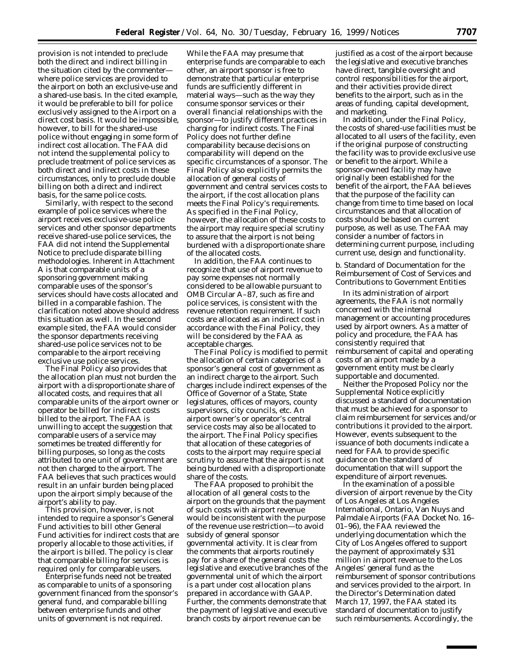provision is not intended to preclude both the direct and indirect billing in the situation cited by the commenter where police services are provided to the airport on both an exclusive-use and a shared-use basis. In the cited example, it would be preferable to bill for police exclusively assigned to the Airport on a direct cost basis. It would be impossible, however, to bill for the shared-use police without engaging in some form of indirect cost allocation. The FAA did not intend the supplemental policy to preclude treatment of police services as both direct and indirect costs in these circumstances, only to preclude double billing on both a direct and indirect basis, for the same police costs.

Similarly, with respect to the second example of police services where the airport receives exclusive-use police services and other sponsor departments receive shared-use police services, the FAA did not intend the Supplemental Notice to preclude disparate billing methodologies. Inherent in Attachment A is that comparable units of a sponsoring government making comparable uses of the sponsor's services should have costs allocated and billed in a comparable fashion. The clarification noted above should address this situation as well. In the second example sited, the FAA would consider the sponsor departments receiving shared-use police services not to be comparable to the airport receiving exclusive use police services.

The Final Policy also provides that the allocation plan must not burden the airport with a disproportionate share of allocated costs, and requires that all comparable units of the airport owner or operator be billed for indirect costs billed to the airport. The FAA is unwilling to accept the suggestion that comparable users of a service may sometimes be treated differently for billing purposes, so long as the costs attributed to one unit of government are not then charged to the airport. The FAA believes that such practices would result in an unfair burden being placed upon the airport simply because of the airport's ability to pay.

This provision, however, is not intended to require a sponsor's General Fund activities to bill other General Fund activities for indirect costs that are properly allocable to those activities, if the airport is billed. The policy is clear that comparable billing for services is required only for comparable users.

Enterprise funds need not be treated as comparable to units of a sponsoring government financed from the sponsor's general fund, and comparable billing between enterprise funds and other units of government is not required.

While the FAA may presume that enterprise funds are comparable to each other, an airport sponsor is free to demonstrate that particular enterprise funds are sufficiently different in material ways—such as the way they consume sponsor services or their overall financial relationships with the sponsor—to justify different practices in charging for indirect costs. The Final Policy does not further define comparability because decisions on comparability will depend on the specific circumstances of a sponsor. The Final Policy also explicitly permits the allocation of general costs of government and central services costs to the airport, if the cost allocation plans meets the Final Policy's requirements. As specified in the Final Policy, however, the allocation of these costs to the airport may require special scrutiny to assure that the airport is not being burdened with a disproportionate share of the allocated costs.

In addition, the FAA continues to recognize that use of airport revenue to pay some expenses not normally considered to be allowable pursuant to OMB Circular A–87, such as fire and police services, is consistent with the revenue retention requirement. If such costs are allocated as an indirect cost in accordance with the Final Policy, they will be considered by the FAA as acceptable charges.

The Final Policy is modified to permit the allocation of certain categories of a sponsor's general cost of government as an indirect charge to the airport. Such charges include indirect expenses of the Office of Governor of a State, State legislatures, offices of mayors, county supervisors, city councils, etc. An airport owner's or operator's central service costs may also be allocated to the airport. The Final Policy specifies that allocation of these categories of costs to the airport may require special scrutiny to assure that the airport is not being burdened with a disproportionate share of the costs.

The FAA proposed to prohibit the allocation of all general costs to the airport on the grounds that the payment of such costs with airport revenue would be inconsistent with the purpose of the revenue use restriction—to avoid subsidy of general sponsor governmental activity. It is clear from the comments that airports routinely pay for a share of the general costs the legislative and executive branches of the governmental unit of which the airport is a part under cost allocation plans prepared in accordance with GAAP. Further, the comments demonstrate that the payment of legislative and executive branch costs by airport revenue can be

justified as a cost of the airport because the legislative and executive branches have direct, tangible oversight and control responsibilities for the airport, and their activities provide direct benefits to the airport, such as in the areas of funding, capital development, and marketing.

In addition, under the Final Policy, the costs of shared-use facilities must be allocated to all users of the facility, even if the original purpose of constructing the facility was to provide exclusive use or benefit to the airport. While a sponsor-owned facility may have originally been established for the benefit of the airport, the FAA believes that the purpose of the facility can change from time to time based on local circumstances and that allocation of costs should be based on current purpose, as well as use. The FAA may consider a number of factors in determining current purpose, including current use, design and functionality.

b. Standard of Documentation for the Reimbursement of Cost of Services and Contributions to Government Entities

In its administration of airport agreements, the FAA is not normally concerned with the internal management or accounting procedures used by airport owners. As a matter of policy and procedure, the FAA has consistently required that reimbursement of capital and operating costs of an airport made by a government entity must be clearly supportable and documented.

Neither the Proposed Policy nor the Supplemental Notice explicitly discussed a standard of documentation that must be achieved for a sponsor to claim reimbursement for services and/or contributions it provided to the airport. However, events subsequent to the issuance of both documents indicate a need for FAA to provide specific guidance on the standard of documentation that will support the expenditure of airport revenues.

In the examination of a possible diversion of airport revenue by the City of Los Angeles at Los Angeles International, Ontario, Van Nuys and Palmdale Airports (FAA Docket No. 16– 01–96), the FAA reviewed the underlying documentation which the City of Los Angeles offered to support the payment of approximately \$31 million in airport revenue to the Los Angeles' general fund as the reimbursement of sponsor contributions and services provided to the airport. In the Director's Determination dated March 17, 1997, the FAA stated its standard of documentation to justify such reimbursements. Accordingly, the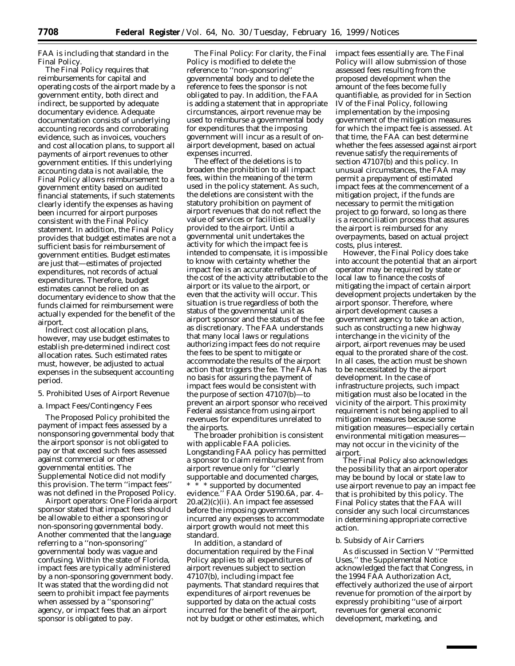FAA is including that standard in the Final Policy.

The Final Policy requires that reimbursements for capital and operating costs of the airport made by a government entity, both direct and indirect, be supported by adequate documentary evidence. Adequate documentation consists of underlying accounting records and corroborating evidence, such as invoices, vouchers and cost allocation plans, to support all payments of airport revenues to other government entities. If this underlying accounting data is not available, the Final Policy allows reimbursement to a government entity based on audited financial statements, if such statements clearly identify the expenses as having been incurred for airport purposes consistent with the Final Policy statement. In addition, the Final Policy provides that budget estimates are not a sufficient basis for reimbursement of government entities. Budget estimates are just that—estimates of projected expenditures, not records of actual expenditures. Therefore, budget estimates cannot be relied on as documentary evidence to show that the funds claimed for reimbursement were actually expended for the benefit of the airport.

Indirect cost allocation plans, however, may use budget estimates to establish pre-determined indirect cost allocation rates. Such estimated rates must, however, be adjusted to actual expenses in the subsequent accounting period.

# *5. Prohibited Uses of Airport Revenue*

## a. Impact Fees/Contingency Fees

The Proposed Policy prohibited the payment of impact fees assessed by a nonsponsoring governmental body that the airport sponsor is not obligated to pay or that exceed such fees assessed against commercial or other governmental entities. The Supplemental Notice did not modify this provision. The term ''impact fees'' was not defined in the Proposed Policy.

*Airport operators:* One Florida airport sponsor stated that impact fees should be allowable to either a sponsoring or non-sponsoring governmental body. Another commented that the language referring to a ''non-sponsoring'' governmental body was vague and confusing. Within the state of Florida, impact fees are typically administered by a non-sponsoring government body. It was stated that the wording did not seem to prohibit impact fee payments when assessed by a ''sponsoring'' agency, or impact fees that an airport sponsor is obligated to pay.

*The Final Policy:* For clarity, the Final Policy is modified to delete the reference to ''non-sponsoring'' governmental body and to delete the reference to fees the sponsor is not obligated to pay. In addition, the FAA is adding a statement that in appropriate circumstances, airport revenue may be used to reimburse a governmental body for expenditures that the imposing government will incur as a result of onairport development, based on actual expenses incurred.

The effect of the deletions is to broaden the prohibition to all impact fees, within the meaning of the term used in the policy statement. As such, the deletions are consistent with the statutory prohibition on payment of airport revenues that do not reflect the value of services or facilities actually provided to the airport. Until a governmental unit undertakes the activity for which the impact fee is intended to compensate, it is impossible to know with certainty whether the impact fee is an accurate reflection of the cost of the activity attributable to the airport or its value to the airport, or even that the activity will occur. This situation is true regardless of both the status of the governmental unit as airport sponsor and the status of the fee as discretionary. The FAA understands that many local laws or regulations authorizing impact fees do not require the fees to be spent to mitigate or accommodate the results of the airport action that triggers the fee. The FAA has no basis for assuring the payment of impact fees would be consistent with the purpose of section 47107(b)—to prevent an airport sponsor who received Federal assistance from using airport revenues for expenditures unrelated to the airports.

The broader prohibition is consistent with applicable FAA policies. Longstanding FAA policy has permitted a sponsor to claim reimbursement from airport revenue only for ''clearly supportable and documented charges, \* \* \* supported by documented evidence.'' FAA Order 5190.6A, par. 4–  $20.a(2)(c)(ii)$ . An impact fee assessed before the imposing government incurred any expenses to accommodate airport growth would not meet this standard.

In addition, a standard of documentation required by the Final Policy applies to all expenditures of airport revenues subject to section 47107(b), including impact fee payments. That standard requires that expenditures of airport revenues be supported by data on the actual costs incurred for the benefit of the airport, not by budget or other estimates, which impact fees essentially are. The Final Policy will allow submission of those assessed fees resulting from the proposed development when the amount of the fees become fully quantifiable, as provided for in Section IV of the Final Policy, following implementation by the imposing government of the mitigation measures for which the impact fee is assessed. At that time, the FAA can best determine whether the fees assessed against airport revenue satisfy the requirements of section 47107(b) and this policy. In unusual circumstances, the FAA may permit a prepayment of estimated impact fees at the commencement of a mitigation project, if the funds are necessary to permit the mitigation project to go forward, so long as there is a reconciliation process that assures the airport is reimbursed for any overpayments, based on actual project costs, plus interest.

However, the Final Policy does take into account the potential that an airport operator may be required by state or local law to finance the costs of mitigating the impact of certain airport development projects undertaken by the airport sponsor. Therefore, where airport development causes a government agency to take an action, such as constructing a new highway interchange in the vicinity of the airport, airport revenues may be used equal to the prorated share of the cost. In all cases, the action must be shown to be necessitated by the airport development. In the case of infrastructure projects, such impact mitigation must also be located in the vicinity of the airport. This proximity requirement is not being applied to all mitigation measures because some mitigation measures—especially certain environmental mitigation measures may not occur in the vicinity of the airport.

The Final Policy also acknowledges the possibility that an airport operator may be bound by local or state law to use airport revenue to pay an impact fee that is prohibited by this policy. The Final Policy states that the FAA will consider any such local circumstances in determining appropriate corrective action.

#### b. Subsidy of Air Carriers

As discussed in Section V ''Permitted Uses,'' the Supplemental Notice acknowledged the fact that Congress, in the 1994 FAA Authorization Act, effectively authorized the use of airport revenue for promotion of the airport by expressly prohibiting ''use of airport revenues for general economic development, marketing, and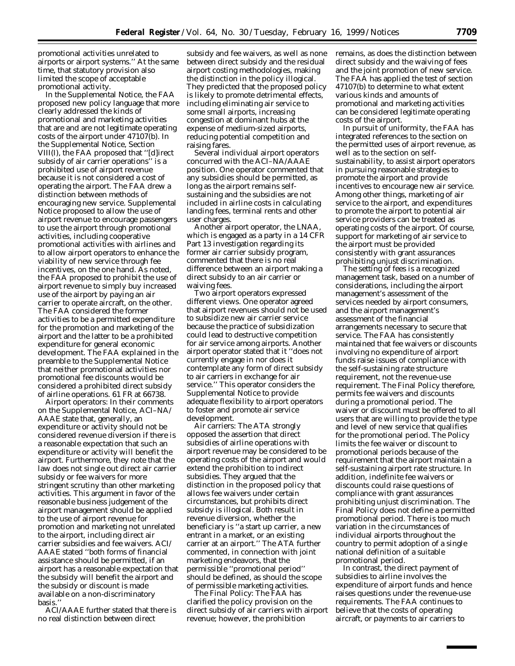promotional activities unrelated to airports or airport systems.'' At the same time, that statutory provision also limited the scope of acceptable promotional activity.

In the Supplemental Notice, the FAA proposed new policy language that more clearly addressed the kinds of promotional and marketing activities that are and are not legitimate operating costs of the airport under 47107(b). In the Supplemental Notice, Section VIII(I), the FAA proposed that ''[d]irect subsidy of air carrier operations'' is a prohibited use of airport revenue because it is not considered a cost of operating the airport. The FAA drew a distinction between methods of encouraging new service. Supplemental Notice proposed to allow the use of airport revenue to encourage passengers to use the airport through promotional activities, including cooperative promotional activities with airlines and to allow airport operators to enhance the viability of new service through fee incentives, on the one hand. As noted, the FAA proposed to prohibit the use of airport revenue to simply buy increased use of the airport by paying an air carrier to operate aircraft, on the other. The FAA considered the former activities to be a permitted expenditure for the promotion and marketing of the airport and the latter to be a prohibited expenditure for general economic development. The FAA explained in the preamble to the Supplemental Notice that neither promotional activities nor promotional fee discounts would be considered a prohibited direct subsidy of airline operations. 61 FR at 66738.

*Airport operators:* In their comments on the Supplemental Notice, ACI–NA/ AAAE state that, generally, an expenditure or activity should not be considered revenue diversion if there is a reasonable expectation that such an expenditure or activity will benefit the airport. Furthermore, they note that the law does not single out direct air carrier subsidy or fee waivers for more stringent scrutiny than other marketing activities. This argument in favor of the reasonable business judgement of the airport management should be applied to the use of airport revenue for promotion and marketing not unrelated to the airport, including direct air carrier subsidies and fee waivers. ACI/ AAAE stated ''both forms of financial assistance should be permitted, if an airport has a reasonable expectation that the subsidy will benefit the airport and the subsidy or discount is made available on a non-discriminatory basis.''

ACI/AAAE further stated that there is no real distinction between direct

subsidy and fee waivers, as well as none between direct subsidy and the residual airport costing methodologies, making the distinction in the policy illogical. They predicted that the proposed policy is likely to promote detrimental effects, including eliminating air service to some small airports, increasing congestion at dominant hubs at the expense of medium-sized airports, reducing potential competition and raising fares.

Several individual airport operators concurred with the ACI–NA/AAAE position. One operator commented that any subsidies should be permitted, as long as the airport remains selfsustaining and the subsidies are not included in airline costs in calculating landing fees, terminal rents and other user charges.

Another airport operator, the LNAA, which is engaged as a party in a 14 CFR Part 13 investigation regarding its former air carrier subsidy program, commented that there is no real difference between an airport making a direct subsidy to an air carrier or waiving fees.

Two airport operators expressed different views. One operator agreed that airport revenues should not be used to subsidize new air carrier service because the practice of subsidization could lead to destructive competition for air service among airports. Another airport operator stated that it ''does not currently engage in nor does it contemplate any form of direct subsidy to air carriers in exchange for air service.'' This operator considers the Supplemental Notice to provide adequate flexibility to airport operators to foster and promote air service development.

*Air carriers:* The ATA strongly opposed the assertion that direct subsidies of airline operations with airport revenue may be considered to be operating costs of the airport and would extend the prohibition to indirect subsidies. They argued that the distinction in the proposed policy that allows fee waivers under certain circumstances, but prohibits direct subsidy is illogical. Both result in revenue diversion, whether the beneficiary is ''a start up carrier, a new entrant in a market, or an existing carrier at an airport.'' The ATA further commented, in connection with joint marketing endeavors, that the permissible ''promotional period'' should be defined, as should the scope of permissible marketing activities.

*The Final Policy:* The FAA has clarified the policy provision on the direct subsidy of air carriers with airport revenue; however, the prohibition

remains, as does the distinction between direct subsidy and the waiving of fees and the joint promotion of new service. The FAA has applied the test of section 47107(b) to determine to what extent various kinds and amounts of promotional and marketing activities can be considered legitimate operating costs of the airport.

In pursuit of uniformity, the FAA has integrated references to the section on the permitted uses of airport revenue, as well as to the section on selfsustainability, to assist airport operators in pursuing reasonable strategies to promote the airport and provide incentives to encourage new air service. Among other things, marketing of air service to the airport, and expenditures to promote the airport to potential air service providers can be treated as operating costs of the airport. Of course, support for marketing of air service to the airport must be provided consistently with grant assurances prohibiting unjust discrimination.

The setting of fees is a recognized management task, based on a number of considerations, including the airport management's assessment of the services needed by airport consumers, and the airport management's assessment of the financial arrangements necessary to secure that service. The FAA has consistently maintained that fee waivers or discounts involving no expenditure of airport funds raise issues of compliance with the self-sustaining rate structure requirement, not the revenue-use requirement. The Final Policy therefore, permits fee waivers and discounts during a promotional period. The waiver or discount must be offered to all users that are willing to provide the type and level of new service that qualifies for the promotional period. The Policy limits the fee waiver or discount to promotional periods because of the requirement that the airport maintain a self-sustaining airport rate structure. In addition, indefinite fee waivers or discounts could raise questions of compliance with grant assurances prohibiting unjust discrimination. The Final Policy does not define a permitted promotional period. There is too much variation in the circumstances of individual airports throughout the country to permit adoption of a single national definition of a suitable promotional period.

In contrast, the direct payment of subsidies to airline involves the expenditure of airport funds and hence raises questions under the revenue-use requirements. The FAA continues to believe that the costs of operating aircraft, or payments to air carriers to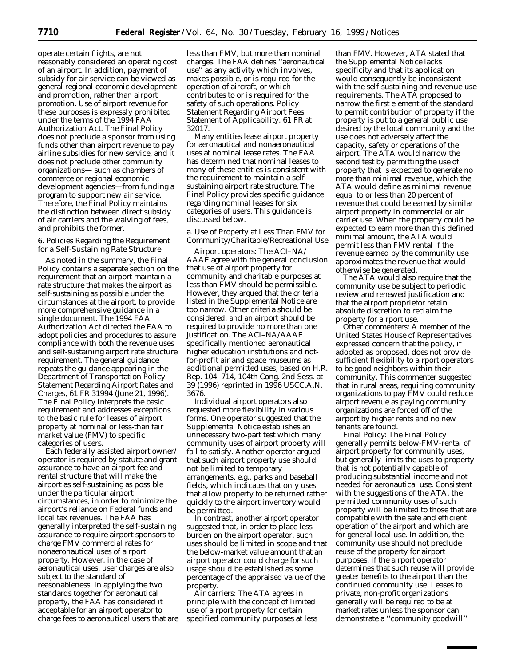operate certain flights, are not reasonably considered an operating cost of an airport. In addition, payment of subsidy for air service can be viewed as general regional economic development and promotion, rather than airport promotion. Use of airport revenue for these purposes is expressly prohibited under the terms of the 1994 FAA Authorization Act. The Final Policy does not preclude a sponsor from using funds other than airport revenue to pay airline subsidies for new service, and it does not preclude other community organizations— such as chambers of commerce or regional economic development agencies—from funding a program to support new air service. Therefore, the Final Policy maintains the distinction between direct subsidy of air carriers and the waiving of fees, and prohibits the former.

#### *6. Policies Regarding the Requirement for a Self-Sustaining Rate Structure*

As noted in the summary, the Final Policy contains a separate section on the requirement that an airport maintain a rate structure that makes the airport as self-sustaining as possible under the circumstances at the airport, to provide more comprehensive guidance in a single document. The 1994 FAA Authorization Act directed the FAA to adopt policies and procedures to assure compliance with both the revenue uses and self-sustaining airport rate structure requirement. The general guidance repeats the guidance appearing in the Department of Transportation Policy Statement Regarding Airport Rates and Charges, 61 FR 31994 (June 21, 1996). The Final Policy interprets the basic requirement and addresses exceptions to the basic rule for leases of airport property at nominal or less-than fair market value (FMV) to specific categories of users.

Each federally assisted airport owner/ operator is required by statute and grant assurance to have an airport fee and rental structure that will make the airport as self-sustaining as possible under the particular airport circumstances, in order to minimize the airport's reliance on Federal funds and local tax revenues. The FAA has generally interpreted the self-sustaining assurance to require airport sponsors to charge FMV commercial rates for nonaeronautical uses of airport property. However, in the case of aeronautical uses, user charges are also subject to the standard of reasonableness. In applying the two standards together for aeronautical property, the FAA has considered it acceptable for an airport operator to charge fees to aeronautical users that are

less than FMV, but more than nominal charges. The FAA defines ''aeronautical use'' as any activity which involves, makes possible, or is required for the operation of aircraft, or which contributes to or is required for the safety of such operations. Policy Statement Regarding Airport Fees, Statement of Applicability, 61 FR at 32017.

Many entities lease airport property for aeronautical and nonaeronautical uses at nominal lease rates. The FAA has determined that nominal leases to many of these entities is consistent with the requirement to maintain a selfsustaining airport rate structure. The Final Policy provides specific guidance regarding nominal leases for six categories of users. This guidance is discussed below.

a. Use of Property at Less Than FMV for Community/Charitable/Recreational Use

*Airport operators:* The ACI–NA/ AAAE agree with the general conclusion that use of airport property for community and charitable purposes at less than FMV should be permissible. However, they argued that the criteria listed in the Supplemental Notice are too narrow. Other criteria should be considered, and an airport should be required to provide no more than one justification. The ACI–NA/AAAE specifically mentioned aeronautical higher education institutions and notfor-profit air and space museums as additional permitted uses, based on H.R. Rep. 104–714, 104th Cong. 2nd Sess. at 39 (1996) reprinted in 1996 USCC.A.N. 3676.

Individual airport operators also requested more flexibility in various forms. One operator suggested that the Supplemental Notice establishes an unnecessary two-part test which many community uses of airport property will fail to satisfy. Another operator argued that such airport property use should not be limited to temporary arrangements, e.g., parks and baseball fields, which indicates that only uses that allow property to be returned rather quickly to the airport inventory would be permitted.

In contrast, another airport operator suggested that, in order to place less burden on the airport operator, such uses should be limited in scope and that the below-market value amount that an airport operator could charge for such usage should be established as some percentage of the appraised value of the property.

*Air carriers:* The ATA agrees in principle with the concept of limited use of airport property for certain specified community purposes at less

than FMV. However, ATA stated that the Supplemental Notice lacks specificity and that its application would consequently be inconsistent with the self-sustaining and revenue-use requirements. The ATA proposed to narrow the first element of the standard to permit contribution of property if the property is put to a general public use desired by the local community and the use does not adversely affect the capacity, safety or operations of the airport. The ATA would narrow the second test by permitting the use of property that is expected to generate no more than minimal revenue, which the ATA would define as minimal revenue equal to or less than 20 percent of revenue that could be earned by similar airport property in commercial or air carrier use. When the property could be expected to earn more than this defined minimal amount, the ATA would permit less than FMV rental if the revenue earned by the community use approximates the revenue that would otherwise be generated.

The ATA would also require that the community use be subject to periodic review and renewed justification and that the airport proprietor retain absolute discretion to reclaim the property for airport use.

*Other commenters:* A member of the United States House of Representatives expressed concern that the policy, if adopted as proposed, does not provide sufficient flexibility to airport operators to be good neighbors within their community. This commenter suggested that in rural areas, requiring community organizations to pay FMV could reduce airport revenue as paying community organizations are forced off of the airport by higher rents and no new tenants are found.

*Final Policy:* The Final Policy generally permits below-FMV-rental of airport property for community uses, but generally limits the uses to property that is not potentially capable of producing substantial income and not needed for aeronautical use. Consistent with the suggestions of the ATA, the permitted community uses of such property will be limited to those that are compatible with the safe and efficient operation of the airport and which are for general local use. In addition, the community use should not preclude reuse of the property for airport purposes, if the airport operator determines that such reuse will provide greater benefits to the airport than the continued community use. Leases to private, non-profit organizations generally will be required to be at market rates unless the sponsor can demonstrate a ''community goodwill''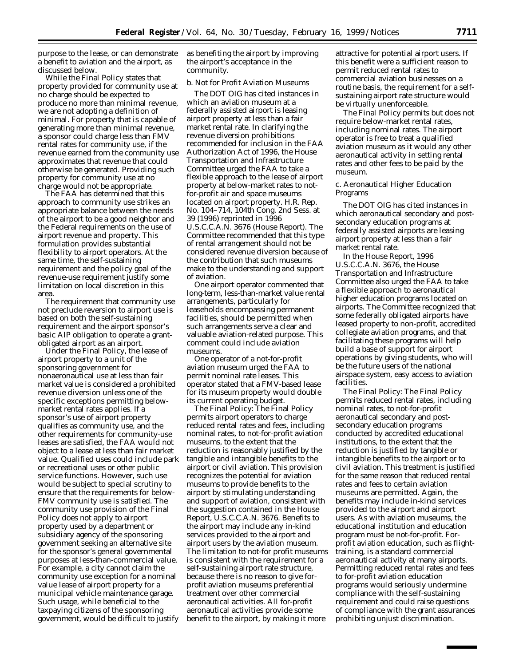purpose to the lease, or can demonstrate a benefit to aviation and the airport, as discussed below.

While the Final Policy states that property provided for community use at no charge should be expected to produce no more than minimal revenue, we are not adopting a definition of minimal. For property that is capable of generating more than minimal revenue, a sponsor could charge less than FMV rental rates for community use, if the revenue earned from the community use approximates that revenue that could otherwise be generated. Providing such property for community use at no charge would not be appropriate.

The FAA has determined that this approach to community use strikes an appropriate balance between the needs of the airport to be a good neighbor and the Federal requirements on the use of airport revenue and property. This formulation provides substantial flexibility to airport operators. At the same time, the self-sustaining requirement and the policy goal of the revenue-use requirement justify some limitation on local discretion in this area.

The requirement that community use not preclude reversion to airport use is based on both the self-sustaining requirement and the airport sponsor's basic AIP obligation to operate a grantobligated airport as an airport.

Under the Final Policy, the lease of airport property to a unit of the sponsoring government for nonaeronautical use at less than fair market value is considered a prohibited revenue diversion unless one of the specific exceptions permitting belowmarket rental rates applies. If a sponsor's use of airport property qualifies as community use, and the other requirements for community-use leases are satisfied, the FAA would not object to a lease at less than fair market value. Qualified uses could include park or recreational uses or other public service functions. However, such use would be subject to special scrutiny to ensure that the requirements for below-FMV community use is satisfied. The community use provision of the Final Policy does not apply to airport property used by a department or subsidiary agency of the sponsoring government seeking an alternative site for the sponsor's general governmental purposes at less-than-commercial value. For example, a city cannot claim the community use exception for a nominal value lease of airport property for a municipal vehicle maintenance garage. Such usage, while beneficial to the taxpaying citizens of the sponsoring government, would be difficult to justify

as benefiting the airport by improving the airport's acceptance in the community.

## b. Not for Profit Aviation Museums

The DOT OIG has cited instances in which an aviation museum at a federally assisted airport is leasing airport property at less than a fair market rental rate. In clarifying the revenue diversion prohibitions recommended for inclusion in the FAA Authorization Act of 1996, the House Transportation and Infrastructure Committee urged the FAA to take a flexible approach to the lease of airport property at below-market rates to notfor-profit air and space museums located on airport property. H.R. Rep. No. 104–714, 104th Cong. 2nd Sess. at 39 (1996) reprinted in 1996 U.S.C.C.A.N. 3676 (House Report). The Committee recommended that this type of rental arrangement should not be considered revenue diversion because of the contribution that such museums make to the understanding and support of aviation.

One airport operator commented that long-term, less-than-market value rental arrangements, particularly for leaseholds encompassing permanent facilities, should be permitted when such arrangements serve a clear and valuable aviation-related purpose. This comment could include aviation museums.

One operator of a not-for-profit aviation museum urged the FAA to permit nominal rate leases. This operator stated that a FMV-based lease for its museum property would double its current operating budget.

*The Final Policy:* The Final Policy permits airport operators to charge reduced rental rates and fees, including nominal rates, to not-for-profit aviation museums, to the extent that the reduction is reasonably justified by the tangible and intangible benefits to the airport or civil aviation. This provision recognizes the potential for aviation museums to provide benefits to the airport by stimulating understanding and support of aviation, consistent with the suggestion contained in the House Report, U.S.C.C.A.N. 3676. Benefits to the airport may include any in-kind services provided to the airport and airport users by the aviation museum. The limitation to not-for profit museums is consistent with the requirement for a self-sustaining airport rate structure, because there is no reason to give forprofit aviation museums preferential treatment over other commercial aeronautical activities. All for-profit aeronautical activities provide some benefit to the airport, by making it more

attractive for potential airport users. If this benefit were a sufficient reason to permit reduced rental rates to commercial aviation businesses on a routine basis, the requirement for a selfsustaining airport rate structure would be virtually unenforceable.

The Final Policy permits but does not require below-market rental rates, including nominal rates. The airport operator is free to treat a qualified aviation museum as it would any other aeronautical activity in setting rental rates and other fees to be paid by the museum.

## c. Aeronautical Higher Education Programs

The DOT OIG has cited instances in which aeronautical secondary and postsecondary education programs at federally assisted airports are leasing airport property at less than a fair market rental rate.

In the House Report, 1996 U.S.C.C.A.N. 3676, the House Transportation and Infrastructure Committee also urged the FAA to take a flexible approach to aeronautical higher education programs located on airports. The Committee recognized that some federally obligated airports have leased property to non-profit, accredited collegiate aviation programs, and that facilitating these programs will help build a base of support for airport operations by giving students, who will be the future users of the national airspace system, easy access to aviation facilities.

*The Final Policy:* The Final Policy permits reduced rental rates, including nominal rates, to not-for-profit aeronautical secondary and postsecondary education programs conducted by accredited educational institutions, to the extent that the reduction is justified by tangible or intangible benefits to the airport or to civil aviation. This treatment is justified for the same reason that reduced rental rates and fees to certain aviation museums are permitted. Again, the benefits may include in-kind services provided to the airport and airport users. As with aviation museums, the educational institution and education program must be not-for-profit. Forprofit aviation education, such as flighttraining, is a standard commercial aeronautical activity at many airports. Permitting reduced rental rates and fees to for-profit aviation education programs would seriously undermine compliance with the self-sustaining requirement and could raise questions of compliance with the grant assurances prohibiting unjust discrimination.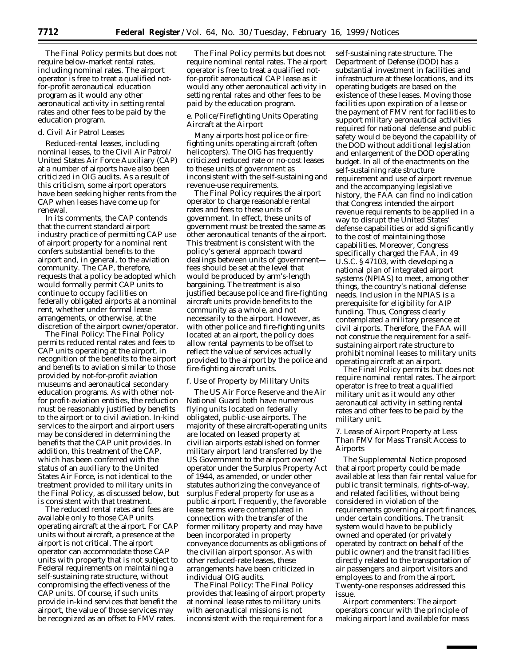The Final Policy permits but does not require below-market rental rates, including nominal rates. The airport operator is free to treat a qualified notfor-profit aeronautical education program as it would any other aeronautical activity in setting rental rates and other fees to be paid by the education program.

# d. Civil Air Patrol Leases

Reduced-rental leases, including nominal leases, to the Civil Air Patrol/ United States Air Force Auxiliary (CAP) at a number of airports have also been criticized in OIG audits. As a result of this criticism, some airport operators have been seeking higher rents from the CAP when leases have come up for renewal.

In its comments, the CAP contends that the current standard airport industry practice of permitting CAP use of airport property for a nominal rent confers substantial benefits to the airport and, in general, to the aviation community. The CAP, therefore, requests that a policy be adopted which would formally permit CAP units to continue to occupy facilities on federally obligated airports at a nominal rent, whether under formal lease arrangements, or otherwise, at the discretion of the airport owner/operator.

*The Final Policy:* The Final Policy permits reduced rental rates and fees to CAP units operating at the airport, in recognition of the benefits to the airport and benefits to aviation similar to those provided by not-for-profit aviation museums and aeronautical secondary education programs. As with other notfor profit-aviation entities, the reduction must be reasonably justified by benefits to the airport or to civil aviation. In-kind services to the airport and airport users may be considered in determining the benefits that the CAP unit provides. In addition, this treatment of the CAP, which has been conferred with the status of an auxiliary to the United States Air Force, is not identical to the treatment provided to military units in the Final Policy, as discussed below, but is consistent with that treatment.

The reduced rental rates and fees are available only to those CAP units operating aircraft at the airport. For CAP units without aircraft, a presence at the airport is not critical. The airport operator can accommodate those CAP units with property that is not subject to Federal requirements on maintaining a self-sustaining rate structure, without compromising the effectiveness of the CAP units. Of course, if such units provide in-kind services that benefit the airport, the value of those services may be recognized as an offset to FMV rates.

The Final Policy permits but does not require nominal rental rates. The airport operator is free to treat a qualified notfor-profit aeronautical CAP lease as it would any other aeronautical activity in setting rental rates and other fees to be paid by the education program.

# e. Police/Firefighting Units Operating Aircraft at the Airport

Many airports host police or firefighting units operating aircraft (often helicopters). The OIG has frequently criticized reduced rate or no-cost leases to these units of government as inconsistent with the self-sustaining and revenue-use requirements.

The Final Policy requires the airport operator to charge reasonable rental rates and fees to these units of government. In effect, these units of government must be treated the same as other aeronautical tenants of the airport. This treatment is consistent with the policy's general approach toward dealings between units of government fees should be set at the level that would be produced by arm's-length bargaining. The treatment is also justified because police and fire-fighting aircraft units provide benefits to the community as a whole, and not necessarily to the airport. However, as with other police and fire-fighting units located at an airport, the policy does allow rental payments to be offset to reflect the value of services actually provided to the airport by the police and fire-fighting aircraft units.

#### f. Use of Property by Military Units

The US Air Force Reserve and the Air National Guard both have numerous flying units located on federally obligated, public-use airports. The majority of these aircraft-operating units are located on leased property at civilian airports established on former military airport land transferred by the US Government to the airport owner/ operator under the Surplus Property Act of 1944, as amended, or under other statutes authorizing the conveyance of surplus Federal property for use as a public airport. Frequently, the favorable lease terms were contemplated in connection with the transfer of the former military property and may have been incorporated in property conveyance documents as obligations of the civilian airport sponsor. As with other reduced-rate leases, these arrangements have been criticized in individual OIG audits.

*The Final Policy:* The Final Policy provides that leasing of airport property at nominal lease rates to military units with aeronautical missions is not inconsistent with the requirement for a

self-sustaining rate structure. The Department of Defense (DOD) has a substantial investment in facilities and infrastructure at these locations, and its operating budgets are based on the existence of these leases. Moving those facilities upon expiration of a lease or the payment of FMV rent for facilities to support military aeronautical activities required for national defense and public safety would be beyond the capability of the DOD without additional legislation and enlargement of the DOD operating budget. In all of the enactments on the self-sustaining rate structure requirement and use of airport revenue and the accompanying legislative history, the FAA can find no indication that Congress intended the airport revenue requirements to be applied in a way to disrupt the United States' defense capabilities or add significantly to the cost of maintaining those capabilities. Moreover, Congress specifically charged the FAA, in 49 U.S.C. § 47103, with developing a national plan of integrated airport systems (NPIAS) to meet, among other things, the country's national defense needs. Inclusion in the NPIAS is a prerequisite for eligibility for AIP funding. Thus, Congress clearly contemplated a military presence at civil airports. Therefore, the FAA will not construe the requirement for a selfsustaining airport rate structure to prohibit nominal leases to military units operating aircraft at an airport.

The Final Policy permits but does not require nominal rental rates. The airport operator is free to treat a qualified military unit as it would any other aeronautical activity in setting rental rates and other fees to be paid by the military unit.

## *7. Lease of Airport Property at Less Than FMV for Mass Transit Access to Airports*

The Supplemental Notice proposed that airport property could be made available at less than fair rental value for public transit terminals, rights-of-way, and related facilities, without being considered in violation of the requirements governing airport finances, under certain conditions. The transit system would have to be publicly owned and operated (or privately operated by contract on behalf of the public owner) and the transit facilities directly related to the transportation of air passengers and airport visitors and employees to and from the airport. Twenty-one responses addressed this issue.

*Airport commenters:* The airport operators concur with the principle of making airport land available for mass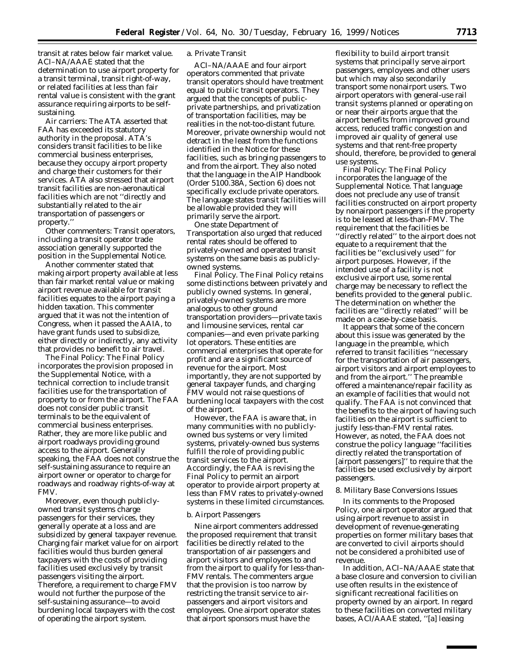transit at rates below fair market value. ACI–NA/AAAE stated that the determination to use airport property for a transit terminal, transit right-of-way, or related facilities at less than fair rental value is consistent with the grant assurance requiring airports to be selfsustaining.

*Air carriers:* The ATA asserted that FAA has exceeded its statutory authority in the proposal. ATA's considers transit facilities to be like commercial business enterprises, because they occupy airport property and charge their customers for their services. ATA also stressed that airport transit facilities are non-aeronautical facilities which are not ''directly and substantially related to the air transportation of passengers or property.''

*Other commenters:* Transit operators, including a transit operator trade association generally supported the position in the Supplemental Notice.

Another commenter stated that making airport property available at less than fair market rental value or making airport revenue available for transit facilities equates to the airport paying a hidden taxation. This commenter argued that it was not the intention of Congress, when it passed the AAIA, to have grant funds used to subsidize, either directly or indirectly, any activity that provides no benefit to air travel.

*The Final Policy:* The Final Policy incorporates the provision proposed in the Supplemental Notice, with a technical correction to include transit facilities use for the transportation of property to or from the airport. The FAA does not consider public transit terminals to be the equivalent of commercial business enterprises. Rather, they are more like public and airport roadways providing ground access to the airport. Generally speaking, the FAA does not construe the self-sustaining assurance to require an airport owner or operator to charge for roadways and roadway rights-of-way at FMV.

Moreover, even though publiclyowned transit systems charge passengers for their services, they generally operate at a loss and are subsidized by general taxpayer revenue. Charging fair market value for on airport facilities would thus burden general taxpayers with the costs of providing facilities used exclusively by transit passengers visiting the airport. Therefore, a requirement to charge FMV would not further the purpose of the self-sustaining assurance—to avoid burdening local taxpayers with the cost of operating the airport system.

#### a. Private Transit

ACI–NA/AAAE and four airport operators commented that private transit operators should have treatment equal to public transit operators. They argued that the concepts of publicprivate partnerships, and privatization of transportation facilities, may be realities in the not-too-distant future. Moreover, private ownership would not detract in the least from the functions identified in the Notice for these facilities, such as bringing passengers to and from the airport. They also noted that the language in the AIP Handbook (Order 5100.38A, Section 6) does not specifically exclude private operators. The language states transit facilities will be allowable provided they will primarily serve the airport.

One state Department of Transportation also urged that reduced rental rates should be offered to privately-owned and operated transit systems on the same basis as publiclyowned systems.

*Final Policy.* The Final Policy retains some distinctions between privately and publicly owned systems. In general, privately-owned systems are more analogous to other ground transportation providers—private taxis and limousine services, rental car companies—and even private parking lot operators. These entities are commercial enterprises that operate for profit and are a significant source of revenue for the airport. Most importantly, they are not supported by general taxpayer funds, and charging FMV would not raise questions of burdening local taxpayers with the cost of the airport.

However, the FAA is aware that, in many communities with no publiclyowned bus systems or very limited systems, privately-owned bus systems fulfill the role of providing public transit services to the airport. Accordingly, the FAA is revising the Final Policy to permit an airport operator to provide airport property at less than FMV rates to privately-owned systems in these limited circumstances.

#### b. Airport Passengers

Nine airport commenters addressed the proposed requirement that transit facilities be directly related to the transportation of air passengers and airport visitors and employees to and from the airport to qualify for less-than-FMV rentals. The commenters argue that the provision is too narrow by restricting the transit service to airpassengers and airport visitors and employees. One airport operator states that airport sponsors must have the

flexibility to build airport transit systems that principally serve airport passengers, employees and other users but which may also secondarily transport some nonairport users. Two airport operators with general-use rail transit systems planned or operating on or near their airports argue that the airport benefits from improved ground access, reduced traffic congestion and improved air quality of general use systems and that rent-free property should, therefore, be provided to general use systems.

*Final Policy:* The Final Policy incorporates the language of the Supplemental Notice. That language does not preclude any use of transit facilities constructed on airport property by nonairport passengers if the property is to be leased at less-than-FMV. The requirement that the facilities be ''directly related'' to the airport does not equate to a requirement that the facilities be ''exclusively used'' for airport purposes. However, if the intended use of a facility is not exclusive airport use, some rental charge may be necessary to reflect the benefits provided to the general public. The determination on whether the facilities are ''directly related'' will be made on a case-by-case basis.

It appears that some of the concern about this issue was generated by the language in the preamble, which referred to transit facilities ''necessary for the transportation of air passengers, airport visitors and airport employees to and from the airport.'' The preamble offered a maintenance/repair facility as an example of facilities that would not qualify. The FAA is not convinced that the benefits to the airport of having such facilities on the airport is sufficient to justify less-than-FMV rental rates. However, as noted, the FAA does not construe the policy language ''facilities directly related the transportation of [airport passengers]'' to require that the facilities be used exclusively by airport passengers.

#### *8. Military Base Conversions Issues*

In its comments to the Proposed Policy, one airport operator argued that using airport revenue to assist in development of revenue-generating properties on former military bases that are converted to civil airports should not be considered a prohibited use of revenue.

In addition, ACI–NA/AAAE state that a base closure and conversion to civilian use often results in the existence of significant recreational facilities on property owned by an airport. In regard to these facilities on converted military bases, ACI/AAAE stated, ''[a] leasing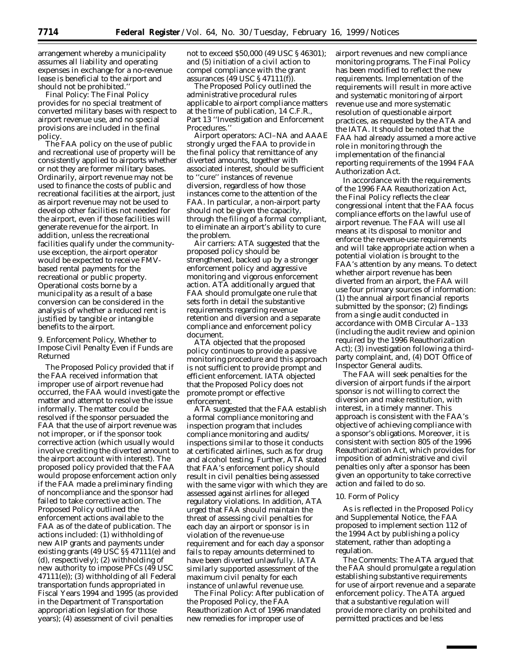arrangement whereby a municipality assumes all liability and operating expenses in exchange for a no-revenue lease is beneficial to the airport and should not be prohibited.''

*Final Policy:* The Final Policy provides for no special treatment of converted military bases with respect to airport revenue use, and no special provisions are included in the final policy.

The FAA policy on the use of public and recreational use of property will be consistently applied to airports whether or not they are former military bases. Ordinarily, airport revenue may not be used to finance the costs of public and recreational facilities at the airport, just as airport revenue may not be used to develop other facilities not needed for the airport, even if those facilities will generate revenue for the airport. In addition, unless the recreational facilities qualify under the communityuse exception, the airport operator would be expected to receive FMVbased rental payments for the recreational or public property. Operational costs borne by a municipality as a result of a base conversion can be considered in the analysis of whether a reduced rent is justified by tangible or intangible benefits to the airport.

# *9. Enforcement Policy, Whether to Impose Civil Penalty Even if Funds are Returned*

The Proposed Policy provided that if the FAA received information that improper use of airport revenue had occurred, the FAA would investigate the matter and attempt to resolve the issue informally. The matter could be resolved if the sponsor persuaded the FAA that the use of airport revenue was not improper, or if the sponsor took corrective action (which usually would involve crediting the diverted amount to the airport account with interest). The proposed policy provided that the FAA would propose enforcement action only if the FAA made a preliminary finding of noncompliance and the sponsor had failed to take corrective action. The Proposed Policy outlined the enforcement actions available to the FAA as of the date of publication. The actions included: (1) withholding of new AIP grants and payments under existing grants (49 USC §§ 47111(e) and (d), respectively); (2) withholding of new authority to impose PFCs (49 USC  $47111(e)$ ; (3) withholding of all Federal transportation funds appropriated in Fiscal Years 1994 and 1995 (as provided in the Department of Transportation appropriation legislation for those years); (4) assessment of civil penalties

not to exceed \$50,000 (49 USC § 46301); and (5) initiation of a civil action to compel compliance with the grant assurances (49 USC § 47111(f)).

The Proposed Policy outlined the administrative procedural rules applicable to airport compliance matters at the time of publication, 14 C.F.R., Part 13 ''Investigation and Enforcement Procedures.''

*Airport operators:* ACI–NA and AAAE strongly urged the FAA to provide in the final policy that remittance of any diverted amounts, together with associated interest, should be sufficient to ''cure'' instances of revenue diversion, regardless of how those instances come to the attention of the FAA. In particular, a non-airport party should not be given the capacity, through the filing of a formal compliant, to eliminate an airport's ability to cure the problem.

*Air carriers:* ATA suggested that the proposed policy should be strengthened, backed up by a stronger enforcement policy and aggressive monitoring and vigorous enforcement action. ATA additionally argued that FAA should promulgate one rule that sets forth in detail the substantive requirements regarding revenue retention and diversion and a separate compliance and enforcement policy document.

ATA objected that the proposed policy continues to provide a passive monitoring procedure and this approach is not sufficient to provide prompt and efficient enforcement. IATA objected that the Proposed Policy does not promote prompt or effective enforcement.

ATA suggested that the FAA establish a formal compliance monitoring and inspection program that includes compliance monitoring and audits/ inspections similar to those it conducts at certificated airlines, such as for drug and alcohol testing. Further, ATA stated that FAA's enforcement policy should result in civil penalties being assessed with the same vigor with which they are assessed against airlines for alleged regulatory violations. In addition, ATA urged that FAA should maintain the threat of assessing civil penalties for each day an airport or sponsor is in violation of the revenue-use requirement and for each day a sponsor fails to repay amounts determined to have been diverted unlawfully. IATA similarly supported assessment of the maximum civil penalty for each instance of unlawful revenue use.

*The Final Policy:* After publication of the Proposed Policy, the FAA Reauthorization Act of 1996 mandated new remedies for improper use of

airport revenues and new compliance monitoring programs. The Final Policy has been modified to reflect the new requirements. Implementation of the requirements will result in more active and systematic monitoring of airport revenue use and more systematic resolution of questionable airport practices, as requested by the ATA and the IATA. It should be noted that the FAA had already assumed a more active role in monitoring through the implementation of the financial reporting requirements of the 1994 FAA Authorization Act.

In accordance with the requirements of the 1996 FAA Reauthorization Act, the Final Policy reflects the clear congressional intent that the FAA focus compliance efforts on the lawful use of airport revenue. The FAA will use all means at its disposal to monitor and enforce the revenue-use requirements and will take appropriate action when a potential violation is brought to the FAA's attention by any means. To detect whether airport revenue has been diverted from an airport, the FAA will use four primary sources of information: (1) the annual airport financial reports submitted by the sponsor; (2) findings from a single audit conducted in accordance with OMB Circular A–133 (including the audit review and opinion required by the 1996 Reauthorization Act); (3) investigation following a thirdparty complaint, and, (4) DOT Office of Inspector General audits.

The FAA will seek penalties for the diversion of airport funds if the airport sponsor is not willing to correct the diversion and make restitution, with interest, in a timely manner. This approach is consistent with the FAA's objective of achieving compliance with a sponsor's obligations. Moreover, it is consistent with section 805 of the 1996 Reauthorization Act, which provides for imposition of administrative and civil penalties only after a sponsor has been given an opportunity to take corrective action and failed to do so.

#### *10. Form of Policy*

As is reflected in the Proposed Policy and Supplemental Notice, the FAA proposed to implement section 112 of the 1994 Act by publishing a policy statement, rather than adopting a regulation.

*The Comments:* The ATA argued that the FAA should promulgate a regulation establishing substantive requirements for use of airport revenue and a separate enforcement policy. The ATA argued that a substantive regulation will provide more clarity on prohibited and permitted practices and be less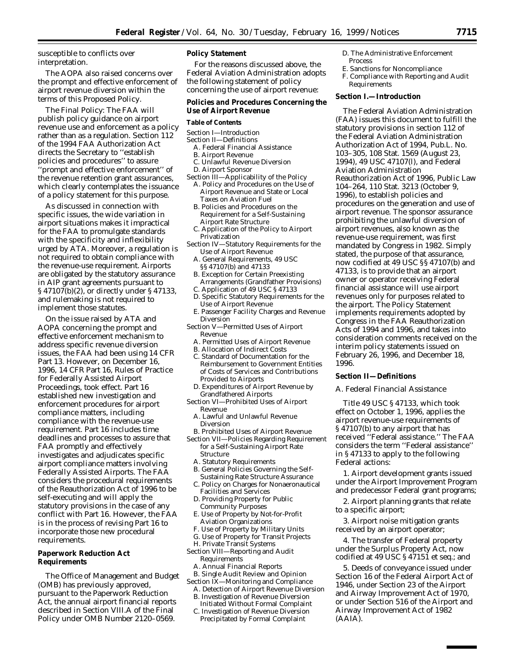susceptible to conflicts over interpretation.

The AOPA also raised concerns over the prompt and effective enforcement of airport revenue diversion within the terms of this Proposed Policy.

*The Final Policy:* The FAA will publish policy guidance on airport revenue use and enforcement as a policy rather than as a regulation. Section 112 of the 1994 FAA Authorization Act directs the Secretary to ''establish policies and procedures'' to assure 'prompt and effective enforcement" of the revenue retention grant assurances, which clearly contemplates the issuance of a policy statement for this purpose.

As discussed in connection with specific issues, the wide variation in airport situations makes it impractical for the FAA to promulgate standards with the specificity and inflexibility urged by ATA. Moreover, a regulation is not required to obtain compliance with the revenue-use requirement. Airports are obligated by the statutory assurance in AIP grant agreements pursuant to § 47107(b)(2), or directly under § 47133, and rulemaking is not required to implement those statutes.

On the issue raised by ATA and AOPA concerning the prompt and effective enforcement mechanism to address specific revenue diversion issues, the FAA had been using 14 CFR Part 13. However, on December 16, 1996, 14 CFR Part 16, Rules of Practice for Federally Assisted Airport Proceedings, took effect. Part 16 established new investigation and enforcement procedures for airport compliance matters, including compliance with the revenue-use requirement. Part 16 includes time deadlines and processes to assure that FAA promptly and effectively investigates and adjudicates specific airport compliance matters involving Federally Assisted Airports. The FAA considers the procedural requirements of the Reauthorization Act of 1996 to be self-executing and will apply the statutory provisions in the case of any conflict with Part 16. However, the FAA is in the process of revising Part 16 to incorporate those new procedural requirements.

# **Paperwork Reduction Act Requirements**

The Office of Management and Budget (OMB) has previously approved, pursuant to the Paperwork Reduction Act, the annual airport financial reports described in Section VIII.A of the Final Policy under OMB Number 2120–0569.

# **Policy Statement**

For the reasons discussed above, the Federal Aviation Administration adopts the following statement of policy concerning the use of airport revenue:

### **Policies and Procedures Concerning the Use of Airport Revenue**

#### **Table of Contents**

- Section I—Introduction
- Section II—Definitions
	- A. Federal Financial Assistance
	- B. Airport Revenue
- C. Unlawful Revenue Diversion D. Airport Sponsor
- 
- Section III—Applicability of the Policy A. Policy and Procedures on the Use of Airport Revenue and State or Local Taxes on Aviation Fuel
	- B. Policies and Procedures on the Requirement for a Self-Sustaining Airport Rate Structure
	- C. Application of the Policy to Airport Privatization
- Section IV—Statutory Requirements for the Use of Airport Revenue
	- A. General Requirements, 49 USC §§ 47107(b) and 47133
	- B. Exception for Certain Preexisting Arrangements (Grandfather Provisions)
	- C. Application of 49 USC § 47133 D. Specific Statutory Requirements for the Use of Airport Revenue
	- E. Passenger Facility Charges and Revenue Diversion
- Section V—Permitted Uses of Airport Revenue
	- A. Permitted Uses of Airport Revenue
	- B. Allocation of Indirect Costs
	- C. Standard of Documentation for the Reimbursement to Government Entities of Costs of Services and Contributions Provided to Airports
- D. Expenditures of Airport Revenue by Grandfathered Airports
- Section VI—Prohibited Uses of Airport Revenue
	- A. Lawful and Unlawful Revenue Diversion
- B. Prohibited Uses of Airport Revenue Section VII—Policies Regarding Requirement
- for a Self-Sustaining Airport Rate Structure
- A. Statutory Requirements
- B. General Policies Governing the Self-Sustaining Rate Structure Assurance
- C. Policy on Charges for Nonaeronautical Facilities and Services
- D. Providing Property for Public Community Purposes
- E. Use of Property by Not-for-Profit Aviation Organizations
- F. Use of Property by Military Units
- G. Use of Property for Transit Projects H. Private Transit Systems
- Section VIII—Reporting and Audit
- Requirements
- A. Annual Financial Reports B. Single Audit Review and Opinion
- Section IX—Monitoring and Compliance
	- A. Detection of Airport Revenue Diversion
	- B. Investigation of Revenue Diversion Initiated Without Formal Complaint
	- C. Investigation of Revenue Diversion Precipitated by Formal Complaint
- D. The Administrative Enforcement **Process**
- E. Sanctions for Noncompliance
- F. Compliance with Reporting and Audit Requirements

### **Section I.—Introduction**

The Federal Aviation Administration (FAA) issues this document to fulfill the statutory provisions in section 112 of the Federal Aviation Administration Authorization Act of 1994, Pub.L. No. 103–305, 108 Stat. 1569 (August 23, 1994), 49 USC 47107(l), and Federal Aviation Administration Reauthorization Act of 1996, Public Law 104–264, 110 Stat. 3213 (October 9, 1996), to establish policies and procedures on the generation and use of airport revenue. The sponsor assurance prohibiting the unlawful diversion of airport revenues, also known as the revenue-use requirement, was first mandated by Congress in 1982. Simply stated, the purpose of that assurance, now codified at 49 USC §§ 47107(b) and 47133, is to provide that an airport owner or operator receiving Federal financial assistance will use airport revenues only for purposes related to the airport. The Policy Statement implements requirements adopted by Congress in the FAA Reauthorization Acts of 1994 and 1996, and takes into consideration comments received on the interim policy statements issued on February 26, 1996, and December 18, 1996.

## **Section II—Definitions**

## *A. Federal Financial Assistance*

Title 49 USC § 47133, which took effect on October 1, 1996, applies the airport revenue-use requirements of § 47107(b) to any airport that has received ''Federal assistance.'' The FAA considers the term ''Federal assistance'' in § 47133 to apply to the following Federal actions:

1. Airport development grants issued under the Airport Improvement Program and predecessor Federal grant programs;

2. Airport planning grants that relate to a specific airport;

3. Airport noise mitigation grants received by an airport operator;

4. The transfer of Federal property under the Surplus Property Act, now codified at 49 USC § 47151 *et seq.*; and

5. Deeds of conveyance issued under Section 16 of the Federal Airport Act of 1946, under Section 23 of the Airport and Airway Improvement Act of 1970, or under Section 516 of the Airport and Airway Improvement Act of 1982 (AAIA).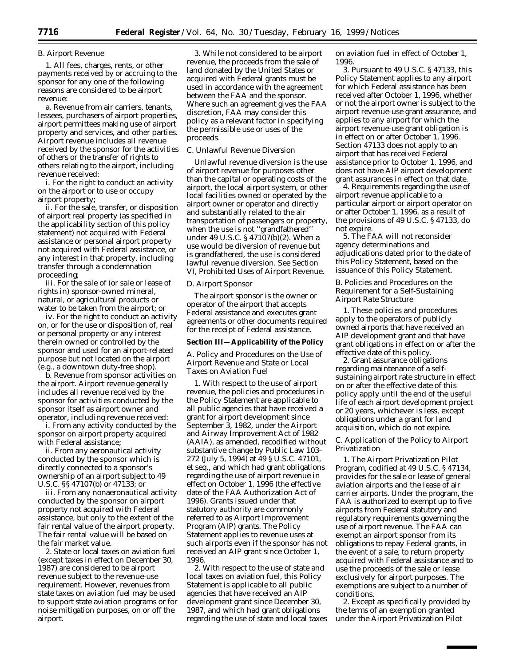#### *B. Airport Revenue*

1. All fees, charges, rents, or other payments received by or accruing to the sponsor for any one of the following reasons are considered to be airport revenue:

a. Revenue from air carriers, tenants, lessees, purchasers of airport properties, airport permittees making use of airport property and services, and other parties. Airport revenue includes all revenue received by the sponsor for the activities of others or the transfer of rights to others relating to the airport, including revenue received:

i. For the right to conduct an activity on the airport or to use or occupy airport property;

ii. For the sale, transfer, or disposition of airport real property (as specified in the applicability section of this policy statement) not acquired with Federal assistance or personal airport property not acquired with Federal assistance, or any interest in that property, including transfer through a condemnation proceeding;

iii. For the sale of (or sale or lease of rights in) sponsor-owned mineral, natural, or agricultural products or water to be taken from the airport; or

iv. For the right to conduct an activity on, or for the use or disposition of, real or personal property or any interest therein owned or controlled by the sponsor and used for an airport-related purpose but not located on the airport (e.g., a downtown duty-free shop).

b. Revenue from sponsor activities on the airport. Airport revenue generally includes all revenue received by the sponsor for activities conducted by the sponsor itself as airport owner and operator, including revenue received:

i. From any activity conducted by the sponsor on airport property acquired with Federal assistance;

ii. From any aeronautical activity conducted by the sponsor which is directly connected to a sponsor's ownership of an airport subject to 49 U.S.C. §§ 47107(b) or 47133; or

iii. From any nonaeronautical activity conducted by the sponsor on airport property not acquired with Federal assistance, but only to the extent of the fair rental value of the airport property. The fair rental value will be based on the fair market value.

2. State or local taxes on aviation fuel (except taxes in effect on December 30, 1987) are considered to be airport revenue subject to the revenue-use requirement. However, revenues from state taxes on aviation fuel may be used to support state aviation programs or for noise mitigation purposes, on or off the airport.

3. While not considered to be airport revenue, the proceeds from the sale of land donated by the United States or acquired with Federal grants must be used in accordance with the agreement between the FAA and the sponsor. Where such an agreement gives the FAA discretion, FAA may consider this policy as a relevant factor in specifying the permissible use or uses of the proceeds.

#### *C. Unlawful Revenue Diversion*

Unlawful revenue diversion is the use of airport revenue for purposes other than the capital or operating costs of the airport, the local airport system, or other local facilities owned or operated by the airport owner or operator and directly and substantially related to the air transportation of passengers or property, when the use is not ''grandfathered'' under 49 U.S.C. § 47107(b)(2). When a use would be diversion of revenue but is grandfathered, the use is considered lawful revenue diversion. See Section VI, Prohibited Uses of Airport Revenue.

#### *D. Airport Sponsor*

The airport sponsor is the owner or operator of the airport that accepts Federal assistance and executes grant agreements or other documents required for the receipt of Federal assistance.

# **Section III—Applicability of the Policy**

## *A. Policy and Procedures on the Use of Airport Revenue and State or Local Taxes on Aviation Fuel*

1. With respect to the use of airport revenue, the policies and procedures in the Policy Statement are applicable to all public agencies that have received a grant for airport development since September 3, 1982, under the Airport and Airway Improvement Act of 1982 (AAIA), as amended, recodified without substantive change by Public Law 103– 272 (July 5, 1994) at 49 § U.S.C. 47101, et seq., and which had grant obligations regarding the use of airport revenue in effect on October 1, 1996 (the effective date of the FAA Authorization Act of 1996). Grants issued under that statutory authority are commonly referred to as Airport Improvement Program (AIP) grants. The Policy Statement applies to revenue uses at such airports even if the sponsor has not received an AIP grant since October 1, 1996.

2. With respect to the use of state and local taxes on aviation fuel, this Policy Statement is applicable to all public agencies that have received an AIP development grant since December 30, 1987, and which had grant obligations regarding the use of state and local taxes on aviation fuel in effect of October 1, 1996.

3. Pursuant to 49 U.S.C. § 47133, this Policy Statement applies to any airport for which Federal assistance has been received after October 1, 1996, whether or not the airport owner is subject to the airport revenue-use grant assurance, and applies to any airport for which the airport revenue-use grant obligation is in effect on or after October 1, 1996. Section 47133 does not apply to an airport that has received Federal assistance prior to October 1, 1996, and does not have AIP airport development grant assurances in effect on that date.

4. Requirements regarding the use of airport revenue applicable to a particular airport or airport operator on or after October 1, 1996, as a result of the provisions of 49 U.S.C. § 47133, do not expire.

5. The FAA will not reconsider agency determinations and adjudications dated prior to the date of this Policy Statement, based on the issuance of this Policy Statement.

### *B. Policies and Procedures on the Requirement for a Self-Sustaining Airport Rate Structure*

1. These policies and procedures apply to the operators of publicly owned airports that have received an AIP development grant and that have grant obligations in effect on or after the effective date of this policy.

2. Grant assurance obligations regarding maintenance of a selfsustaining airport rate structure in effect on or after the effective date of this policy apply until the end of the useful life of each airport development project or 20 years, whichever is less, except obligations under a grant for land acquisition, which do not expire.

### *C. Application of the Policy to Airport Privatization*

1. The Airport Privatization Pilot Program, codified at 49 U.S.C. § 47134, provides for the sale or lease of general aviation airports and the lease of air carrier airports. Under the program, the FAA is authorized to exempt up to five airports from Federal statutory and regulatory requirements governing the use of airport revenue. The FAA can exempt an airport sponsor from its obligations to repay Federal grants, in the event of a sale, to return property acquired with Federal assistance and to use the proceeds of the sale or lease exclusively for airport purposes. The exemptions are subject to a number of conditions.

2. Except as specifically provided by the terms of an exemption granted under the Airport Privatization Pilot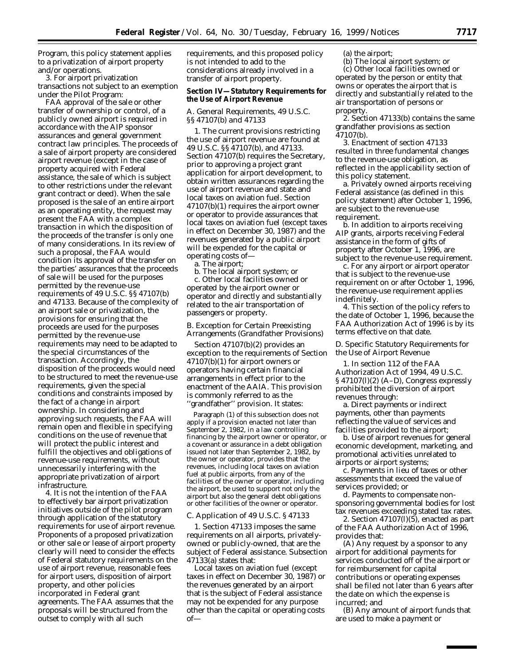Program, this policy statement applies to a privatization of airport property and/or operations.

3. For airport privatization transactions not subject to an exemption under the Pilot Program:

FAA approval of the sale or other transfer of ownership or control, of a publicly owned airport is required in accordance with the AIP sponsor assurances and general government contract law principles. The proceeds of a sale of airport property are considered airport revenue (except in the case of property acquired with Federal assistance, the sale of which is subject to other restrictions under the relevant grant contract or deed). When the sale proposed is the sale of an entire airport as an operating entity, the request may present the FAA with a complex transaction in which the disposition of the proceeds of the transfer is only one of many considerations. In its review of such a proposal, the FAA would condition its approval of the transfer on the parties' assurances that the proceeds of sale will be used for the purposes permitted by the revenue-use requirements of 49 U.S.C. §§ 47107(b) and 47133. Because of the complexity of an airport sale or privatization, the provisions for ensuring that the proceeds are used for the purposes permitted by the revenue-use requirements may need to be adapted to the special circumstances of the transaction. Accordingly, the disposition of the proceeds would need to be structured to meet the revenue-use requirements, given the special conditions and constraints imposed by the fact of a change in airport ownership. In considering and approving such requests, the FAA will remain open and flexible in specifying conditions on the use of revenue that will protect the public interest and fulfill the objectives and obligations of revenue-use requirements, without unnecessarily interfering with the appropriate privatization of airport infrastructure.

4. It is not the intention of the FAA to effectively bar airport privatization initiatives outside of the pilot program through application of the statutory requirements for use of airport revenue. Proponents of a proposed privatization or other sale or lease of airport property clearly will need to consider the effects of Federal statutory requirements on the use of airport revenue, reasonable fees for airport users, disposition of airport property, and other policies incorporated in Federal grant agreements. The FAA assumes that the proposals will be structured from the outset to comply with all such

requirements, and this proposed policy is not intended to add to the considerations already involved in a transfer of airport property.

# **Section IV—Statutory Requirements for the Use of Airport Revenue**

#### *A. General Requirements, 49 U.S.C. §§ 47107(b) and 47133*

1. The current provisions restricting the use of airport revenue are found at 49 U.S.C. §§ 47107(b), and 47133. Section 47107(b) requires the Secretary, prior to approving a project grant application for airport development, to obtain written assurances regarding the use of airport revenue and state and local taxes on aviation fuel. Section 47107(b)(1) requires the airport owner or operator to provide assurances that local taxes on aviation fuel (except taxes in effect on December 30, 1987) and the revenues generated by a public airport will be expended for the capital or operating costs of—

a. The airport;

b. The local airport system; or

c. Other local facilities owned or operated by the airport owner or operator and directly and substantially related to the air transportation of passengers or property.

#### *B. Exception for Certain Preexisting Arrangements (Grandfather Provisions)*

Section 47107(b)(2) provides an exception to the requirements of Section 47107(b)(1) for airport owners or operators having certain financial arrangements in effect prior to the enactment of the AAIA. This provision is commonly referred to as the ''grandfather'' provision. It states:

Paragraph (1) of this subsection does not apply if a provision enacted not later than September 2, 1982, in a law controlling financing by the airport owner or operator, or a covenant or assurance in a debt obligation issued not later than September 2, 1982, by the owner or operator, provides that the revenues, including local taxes on aviation fuel at public airports, from any of the facilities of the owner or operator, including the airport, be used to support not only the airport but also the general debt obligations or other facilities of the owner or operator.

# *C. Application of 49 U.S.C. § 47133*

1. Section 47133 imposes the same requirements on all airports, privatelyowned or publicly-owned, that are the subject of Federal assistance. Subsection 47133(a) states that:

Local taxes on aviation fuel (except taxes in effect on December 30, 1987) or the revenues generated by an airport that is the subject of Federal assistance may not be expended for any purpose other than the capital or operating costs of(a) the airport;

(b) The local airport system; or (c) Other local facilities owned or operated by the person or entity that owns or operates the airport that is directly and substantially related to the air transportation of persons or property.

2. Section 47133(b) contains the same grandfather provisions as section 47107(b).

3. Enactment of section 47133 resulted in three fundamental changes to the revenue-use obligation, as reflected in the applicability section of this policy statement.

a. Privately owned airports receiving Federal assistance (as defined in this policy statement) after October 1, 1996, are subject to the revenue-use requirement.

b. In addition to airports receiving AIP grants, airports receiving Federal assistance in the form of gifts of property after October 1, 1996, are subject to the revenue-use requirement.

c. For any airport or airport operator that is subject to the revenue-use requirement on or after October 1, 1996, the revenue-use requirement applies indefinitely.

4. This section of the policy refers to the date of October 1, 1996, because the FAA Authorization Act of 1996 is by its terms effective on that date.

# *D. Specific Statutory Requirements for the Use of Airport Revenue*

1. In section 112 of the FAA Authorization Act of 1994, 49 U.S.C. § 47107(l)(2) (A–D), Congress expressly prohibited the diversion of airport revenues through:

a. Direct payments or indirect payments, other than payments reflecting the value of services and facilities provided to the airport;

b. Use of airport revenues for general economic development, marketing, and promotional activities unrelated to airports or airport systems;

c. Payments in lieu of taxes or other assessments that exceed the value of services provided; or

d. Payments to compensate nonsponsoring governmental bodies for lost tax revenues exceeding stated tax rates.

2. Section  $47107(1)(5)$ , enacted as part of the FAA Authorization Act of 1996, provides that:

(A) Any request by a sponsor to any airport for additional payments for services conducted off of the airport or for reimbursement for capital contributions or operating expenses shall be filed not later than 6 years after the date on which the expense is incurred; and

(B) Any amount of airport funds that are used to make a payment or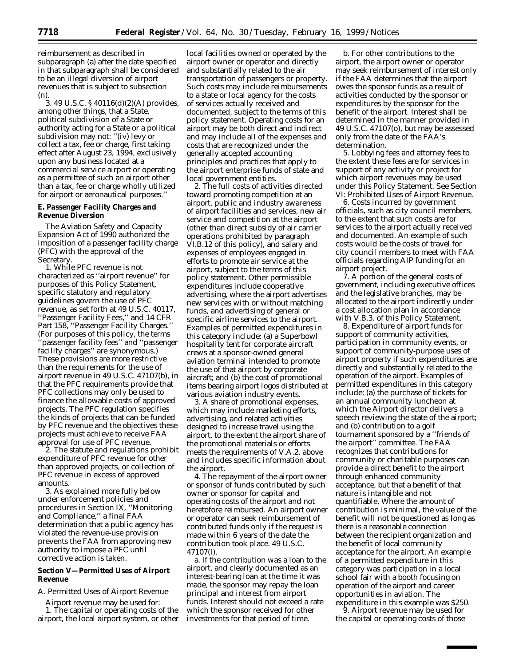reimbursement as described in subparagraph (a) after the date specified in that subparagraph shall be considered to be an illegal diversion of airport revenues that is subject to subsection (n).

3. 49 U.S.C. § 40116(d)(2)(A) provides, among other things, that a State, political subdivision of a State or authority acting for a State or a political subdivision may not: ''(iv) levy or collect a tax, fee or charge, first taking effect after August 23, 1994, exclusively upon any business located at a commercial service airport or operating as a permittee of such an airport other than a tax, fee or charge wholly utilized for airport or aeronautical purposes.''

# **E. Passenger Facility Charges and Revenue Diversion**

The Aviation Safety and Capacity Expansion Act of 1990 authorized the imposition of a passenger facility charge (PFC) with the approval of the Secretary.

1. While PFC revenue is not characterized as ''airport revenue'' for purposes of this Policy Statement, specific statutory and regulatory guidelines govern the use of PFC revenue, as set forth at 49 U.S.C. 40117, ''Passenger Facility Fees,'' and 14 CFR Part 158, ''Passenger Facility Charges.'' (For purposes of this policy, the terms ''passenger facility fees'' and ''passenger facility charges'' are synonymous.) These provisions are more restrictive than the requirements for the use of airport revenue in 49 U.S.C. 47107(b), in that the PFC requirements provide that PFC collections may only be used to finance the allowable costs of approved projects. The PFC regulation specifies the kinds of projects that can be funded by PFC revenue and the objectives these projects must achieve to receive FAA approval for use of PFC revenue.

2. The statute and regulations prohibit expenditure of PFC revenue for other than approved projects, or collection of PFC revenue in excess of approved amounts.

3. As explained more fully below under enforcement policies and procedures in Section IX, ''Monitoring and Compliance,'' a final FAA determination that a public agency has violated the revenue-use provision prevents the FAA from approving new authority to impose a PFC until corrective action is taken.

# **Section V—Permitted Uses of Airport Revenue**

# *A. Permitted Uses of Airport Revenue*

Airport revenue may be used for: 1. The capital or operating costs of the airport, the local airport system, or other

local facilities owned or operated by the airport owner or operator and directly and substantially related to the air transportation of passengers or property. Such costs may include reimbursements to a state or local agency for the costs of services actually received and documented, subject to the terms of this policy statement. Operating costs for an airport may be both direct and indirect and may include all of the expenses and costs that are recognized under the generally accepted accounting principles and practices that apply to the airport enterprise funds of state and local government entities.

2. The full costs of activities directed toward promoting competition at an airport, public and industry awareness of airport facilities and services, new air service and competition at the airport (other than direct subsidy of air carrier operations prohibited by paragraph VI.B.12 of this policy), and salary and expenses of employees engaged in efforts to promote air service at the airport, subject to the terms of this policy statement. Other permissible expenditures include cooperative advertising, where the airport advertises new services with or without matching funds, and advertising of general or specific airline services to the airport. Examples of permitted expenditures in this category include: (a) a Superbowl hospitality tent for corporate aircraft crews at a sponsor-owned general aviation terminal intended to promote the use of that airport by corporate aircraft; and (b) the cost of promotional items bearing airport logos distributed at various aviation industry events.

3. A share of promotional expenses, which may include marketing efforts, advertising, and related activities designed to increase travel using the airport, to the extent the airport share of the promotional materials or efforts meets the requirements of V.A.2. above and includes specific information about the airport.

4. The repayment of the airport owner or sponsor of funds contributed by such owner or sponsor for capital and operating costs of the airport and not heretofore reimbursed. An airport owner or operator can seek reimbursement of contributed funds only if the request is made within 6 years of the date the contribution took place. 49 U.S.C. 47107(l).

a. If the contribution was a loan to the airport, and clearly documented as an interest-bearing loan at the time it was made, the sponsor may repay the loan principal and interest from airport funds. Interest should not exceed a rate which the sponsor received for other investments for that period of time.

b. For other contributions to the airport, the airport owner or operator may seek reimbursement of interest only if the FAA determines that the airport owes the sponsor funds as a result of activities conducted by the sponsor or expenditures by the sponsor for the benefit of the airport. Interest shall be determined in the manner provided in 49 U.S.C. 47107(o), but may be assessed only from the date of the FAA's determination.

5. Lobbying fees and attorney fees to the extent these fees are for services in support of any activity or project for which airport revenues may be used under this Policy Statement. See Section VI: Prohibited Uses of Airport Revenue.

6. Costs incurred by government officials, such as city council members, to the extent that such costs are for services to the airport actually received and documented. An example of such costs would be the costs of travel for city council members to meet with FAA officials regarding AIP funding for an airport project.

7. A portion of the general costs of government, including executive offices and the legislative branches, may be allocated to the airport indirectly under a cost allocation plan in accordance with V.B.3. of this Policy Statement.

8. Expenditure of airport funds for support of community activities, participation in community events, or support of community-purpose uses of airport property if such expenditures are directly and substantially related to the operation of the airport. Examples of permitted expenditures in this category include: (a) the purchase of tickets for an annual community luncheon at which the Airport director delivers a speech reviewing the state of the airport; and (b) contribution to a golf tournament sponsored by a ''friends of the airport'' committee. The FAA recognizes that contributions for community or charitable purposes can provide a direct benefit to the airport through enhanced community acceptance, but that a benefit of that nature is intangible and not quantifiable. Where the amount of contribution is minimal, the value of the benefit will not be questioned as long as there is a reasonable connection between the recipient organization and the benefit of local community acceptance for the airport. An example of a permitted expenditure in this category was participation in a local school fair with a booth focusing on operation of the airport and career opportunities in aviation. The expenditure in this example was \$250.

9. Airport revenue may be used for the capital or operating costs of those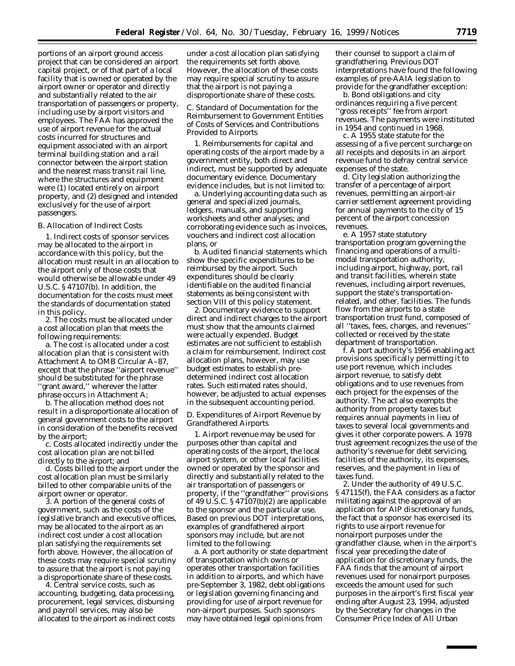portions of an airport ground access project that can be considered an airport capital project, or of that part of a local facility that is owned or operated by the airport owner or operator and directly and substantially related to the air transportation of passengers or property, including use by airport visitors and employees. The FAA has approved the use of airport revenue for the actual costs incurred for structures and equipment associated with an airport terminal building station and a rail connector between the airport station and the nearest mass transit rail line, where the structures and equipment were (1) located entirely on airport property, and (2) designed and intended exclusively for the use of airport passengers.

#### *B. Allocation of Indirect Costs*

1. Indirect costs of sponsor services may be allocated to the airport in accordance with this policy, but the allocation must result in an allocation to the airport only of those costs that would otherwise be allowable under 49 U.S.C. § 47107(b). In addition, the documentation for the costs must meet the standards of documentation stated in this policy.

2. The costs must be allocated under a cost allocation plan that meets the following requirements:

a. The cost is allocated under a cost allocation plan that is consistent with Attachment A to OMB Circular A–87, except that the phrase ''airport revenue'' should be substituted for the phrase ''grant award,'' wherever the latter phrase occurs in Attachment A;

b. The allocation method does not result in a disproportionate allocation of general government costs to the airport in consideration of the benefits received by the airport;

c. Costs allocated indirectly under the cost allocation plan are not billed directly to the airport; and

d. Costs billed to the airport under the cost allocation plan must be similarly billed to other comparable units of the airport owner or operator.

3. A portion of the general costs of government, such as the costs of the legislative branch and executive offices, may be allocated to the airport as an indirect cost under a cost allocation plan satisfying the requirements set forth above. However, the allocation of these costs may require special scrutiny to assure that the airport is not paying a disproportionate share of these costs.

4. Central service costs, such as accounting, budgeting, data processing, procurement, legal services, disbursing and payroll services, may also be allocated to the airport as indirect costs

under a cost allocation plan satisfying the requirements set forth above. However, the allocation of these costs may require special scrutiny to assure that the airport is not paying a disproportionate share of these costs.

## *C. Standard of Documentation for the Reimbursement to Government Entities of Costs of Services and Contributions Provided to Airports*

1. Reimbursements for capital and operating costs of the airport made by a government entity, both direct and indirect, must be supported by adequate documentary evidence. Documentary evidence includes, but is not limited to:

a. Underlying accounting data such as general and specialized journals, ledgers, manuals, and supporting worksheets and other analyses; and corroborating evidence such as invoices, vouchers and indirect cost allocation plans, or

b. Audited financial statements which show the specific expenditures to be reimbursed by the airport. Such expenditures should be clearly identifiable on the audited financial statements as being consistent with section VIII of this policy statement.

2. Documentary evidence to support direct and indirect charges to the airport must show that the amounts claimed were actually expended. Budget estimates are not sufficient to establish a claim for reimbursement. Indirect cost allocation plans, however, may use budget estimates to establish predetermined indirect cost allocation rates. Such estimated rates should, however, be adjusted to actual expenses in the subsequent accounting period.

## *D. Expenditures of Airport Revenue by Grandfathered Airports*

1. Airport revenue may be used for purposes other than capital and operating costs of the airport, the local airport system, or other local facilities owned or operated by the sponsor and directly and substantially related to the air transportation of passengers or property, if the ''grandfather'' provisions of 49 U.S.C. § 47107(b)(2) are applicable to the sponsor and the particular use. Based on previous DOT interpretations, examples of grandfathered airport sponsors may include, but are not limited to the following:

a. A port authority or state department of transportation which owns or operates other transportation facilities in addition to airports, and which have pre-September 3, 1982, debt obligations or legislation governing financing and providing for use of airport revenue for non-airport purposes. Such sponsors may have obtained legal opinions from

their counsel to support a claim of grandfathering. Previous DOT interpretations have found the following examples of pre-AAIA legislation to provide for the grandfather exception:

b. Bond obligations and city ordinances requiring a five percent ''gross receipts'' fee from airport revenues. The payments were instituted in 1954 and continued in 1968.

c. A 1955 state statute for the assessing of a five percent surcharge on all receipts and deposits in an airport revenue fund to defray central service expenses of the state.

d. City legislation authorizing the transfer of a percentage of airport revenues, permitting an airport-air carrier settlement agreement providing for annual payments to the city of 15 percent of the airport concession revenues.

e. A 1957 state statutory transportation program governing the financing and operations of a multimodal transportation authority, including airport, highway, port, rail and transit facilities, wherein state revenues, including airport revenues, support the state's transportationrelated, and other, facilities. The funds flow from the airports to a state transportation trust fund, composed of all ''taxes, fees, charges, and revenues'' collected or received by the state department of transportation.

f. A port authority's 1956 enabling act provisions specifically permitting it to use port revenue, which includes airport revenue, to satisfy debt obligations and to use revenues from each project for the expenses of the authority. The act also exempts the authority from property taxes but requires annual payments in lieu of taxes to several local governments and gives it other corporate powers. A 1978 trust agreement recognizes the use of the authority's revenue for debt servicing, facilities of the authority, its expenses, reserves, and the payment in lieu of taxes fund.

2. Under the authority of 49 U.S.C. § 47115(f), the FAA considers as a factor militating against the approval of an application for AIP discretionary funds, the fact that a sponsor has exercised its rights to use airport revenue for nonairport purposes under the grandfather clause, when in the airport's fiscal year preceding the date of application for discretionary funds, the FAA finds that the amount of airport revenues used for nonairport purposes exceeds the amount used for such purposes in the airport's first fiscal year ending after August 23, 1994, adjusted by the Secretary for changes in the Consumer Price Index of All Urban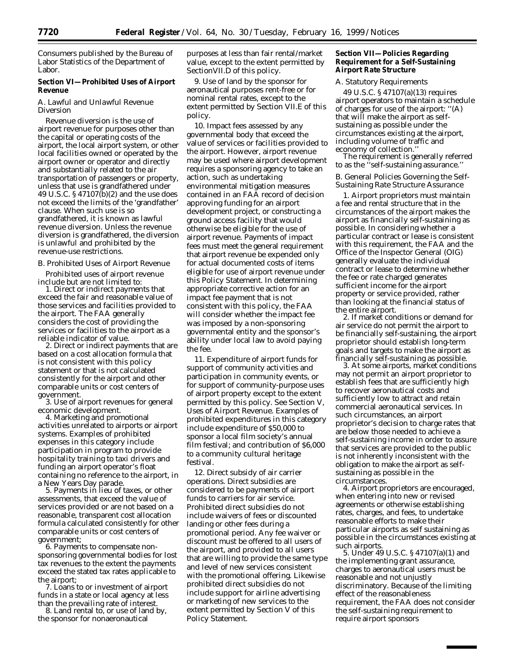Consumers published by the Bureau of Labor Statistics of the Department of Labor.

### **Section VI—Prohibited Uses of Airport Revenue**

#### *A. Lawful and Unlawful Revenue Diversion*

Revenue diversion is the use of airport revenue for purposes other than the capital or operating costs of the airport, the local airport system, or other local facilities owned or operated by the airport owner or operator and directly and substantially related to the air transportation of passengers or property, unless that use is grandfathered under 49 U.S.C. § 47107(b)(2) and the use does not exceed the limits of the 'grandfather' clause. When such use is so grandfathered, it is known as lawful revenue diversion. Unless the revenue diversion is grandfathered, the diversion is unlawful and prohibited by the revenue-use restrictions.

# *B. Prohibited Uses of Airport Revenue*

Prohibited uses of airport revenue include but are not limited to:

1. Direct or indirect payments that exceed the fair and reasonable value of those services and facilities provided to the airport. The FAA generally considers the cost of providing the services or facilities to the airport as a reliable indicator of value.

2. Direct or indirect payments that are based on a cost allocation formula that is not consistent with this policy statement or that is not calculated consistently for the airport and other comparable units or cost centers of

3. Use of airport revenues for general

economic development. 4. Marketing and promotional activities unrelated to airports or airport systems. Examples of prohibited expenses in this category include participation in program to provide hospitality training to taxi drivers and funding an airport operator's float containing no reference to the airport, in a New Years Day parade. 5. Payments in lieu of taxes, or other

assessments, that exceed the value of services provided or are not based on a reasonable, transparent cost allocation formula calculated consistently for other comparable units or cost centers of

6. Payments to compensate nonsponsoring governmental bodies for lost tax revenues to the extent the payments exceed the stated tax rates applicable to the airport; 7. Loans to or investment of airport

funds in a state or local agency at less<br>than the prevailing rate of interest.

8. Land rental to, or use of land by, the sponsor for nonaeronautical

purposes at less than fair rental/market value, except to the extent permitted by SectionVII.D of this policy.

9. Use of land by the sponsor for aeronautical purposes rent-free or for nominal rental rates, except to the extent permitted by Section VII.E of this policy.

10. Impact fees assessed by any governmental body that exceed the value of services or facilities provided to the airport. However, airport revenue may be used where airport development requires a sponsoring agency to take an action, such as undertaking environmental mitigation measures contained in an FAA record of decision approving funding for an airport development project, or constructing a ground access facility that would otherwise be eligible for the use of airport revenue. Payments of impact fees must meet the general requirement that airport revenue be expended only for actual documented costs of items eligible for use of airport revenue under this Policy Statement. In determining appropriate corrective action for an impact fee payment that is not consistent with this policy, the FAA will consider whether the impact fee was imposed by a non-sponsoring governmental entity and the sponsor's ability under local law to avoid paying the fee.

11. Expenditure of airport funds for support of community activities and participation in community events, or for support of community-purpose uses of airport property except to the extent permitted by this policy. See Section V, Uses of Airport Revenue. Examples of prohibited expenditures in this category include expenditure of \$50,000 to sponsor a local film society's annual film festival; and contribution of \$6,000 to a community cultural heritage festival.

12. Direct subsidy of air carrier operations. Direct subsidies are considered to be payments of airport funds to carriers for air service. Prohibited direct subsidies do not include waivers of fees or discounted landing or other fees during a promotional period. Any fee waiver or discount must be offered to all users of the airport, and provided to all users that are willing to provide the same type and level of new services consistent with the promotional offering. Likewise prohibited direct subsidies do not include support for airline advertising or marketing of new services to the extent permitted by Section V of this Policy Statement.

# **Section VII—Policies Regarding Requirement for a Self-Sustaining Airport Rate Structure**

# *A. Statutory Requirements*

49 U.S.C. § 47107(a)(13) requires airport operators to maintain a schedule of charges for use of the airport: ''(A) that will make the airport as selfsustaining as possible under the circumstances existing at the airport, including volume of traffic and economy of collection.'' The requirement is generally referred

to as the ''self-sustaining assurance.''

## *B. General Policies Governing the Self-Sustaining Rate Structure Assurance*

1. Airport proprietors must maintain a fee and rental structure that in the circumstances of the airport makes the airport as financially self-sustaining as possible. In considering whether a particular contract or lease is consistent with this requirement, the FAA and the Office of the Inspector General (OIG) generally evaluate the individual contract or lease to determine whether the fee or rate charged generates sufficient income for the airport property or service provided, rather than looking at the financial status of

2. If market conditions or demand for air service do not permit the airport to be financially self-sustaining, the airport proprietor should establish long-term goals and targets to make the airport as financially self-sustaining as possible. 3. At some airports, market conditions

may not permit an airport proprietor to establish fees that are sufficiently high to recover aeronautical costs and sufficiently low to attract and retain commercial aeronautical services. In such circumstances, an airport proprietor's decision to charge rates that are below those needed to achieve a self-sustaining income in order to assure that services are provided to the public is not inherently inconsistent with the obligation to make the airport as selfsustaining as possible in the circumstances.

4. Airport proprietors are encouraged, when entering into new or revised agreements or otherwise establishing rates, charges, and fees, to undertake reasonable efforts to make their particular airports as self sustaining as possible in the circumstances existing at such airports. 5. Under 49 U.S.C. § 47107(a)(1) and

the implementing grant assurance, charges to aeronautical users must be reasonable and not unjustly discriminatory. Because of the limiting effect of the reasonableness requirement, the FAA does not consider the self-sustaining requirement to require airport sponsors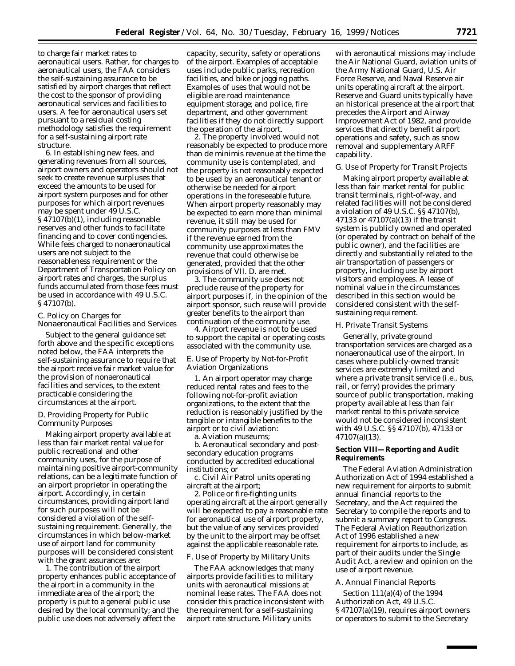to charge fair market rates to aeronautical users. Rather, for charges to aeronautical users, the FAA considers the self-sustaining assurance to be satisfied by airport charges that reflect the cost to the sponsor of providing aeronautical services and facilities to users. A fee for aeronautical users set pursuant to a residual costing methodology satisfies the requirement for a self-sustaining airport rate structure.

6. In establishing new fees, and generating revenues from all sources, airport owners and operators should not seek to create revenue surpluses that exceed the amounts to be used for airport system purposes and for other purposes for which airport revenues may be spent under 49 U.S.C. § 47107(b)(1), including reasonable reserves and other funds to facilitate financing and to cover contingencies. While fees charged to nonaeronautical users are not subject to the reasonableness requirement or the Department of Transportation Policy on airport rates and charges, the surplus funds accumulated from those fees must be used in accordance with 49 U.S.C. § 47107(b).

# *C. Policy on Charges for Nonaeronautical Facilities and Services*

Subject to the general guidance set forth above and the specific exceptions noted below, the FAA interprets the self-sustaining assurance to require that the airport receive fair market value for the provision of nonaeronautical facilities and services, to the extent practicable considering the circumstances at the airport.

## *D. Providing Property for Public Community Purposes*

Making airport property available at less than fair market rental value for public recreational and other community uses, for the purpose of maintaining positive airport-community relations, can be a legitimate function of an airport proprietor in operating the airport. Accordingly, in certain circumstances, providing airport land for such purposes will not be considered a violation of the selfsustaining requirement. Generally, the circumstances in which below-market use of airport land for community purposes will be considered consistent with the grant assurances are:

1. The contribution of the airport property enhances public acceptance of the airport in a community in the immediate area of the airport; the property is put to a general public use desired by the local community; and the public use does not adversely affect the

capacity, security, safety or operations of the airport. Examples of acceptable uses include public parks, recreation facilities, and bike or jogging paths. Examples of uses that would not be eligible are road maintenance equipment storage; and police, fire department, and other government facilities if they do not directly support the operation of the airport.

2. The property involved would not reasonably be expected to produce more than *de minimis* revenue at the time the community use is contemplated, and the property is not reasonably expected to be used by an aeronautical tenant or otherwise be needed for airport operations in the foreseeable future. When airport property reasonably may be expected to earn more than minimal revenue, it still may be used for community purposes at less than FMV if the revenue earned from the community use approximates the revenue that could otherwise be generated, provided that the other provisions of VII. D. are met.

3. The community use does not preclude reuse of the property for airport purposes if, in the opinion of the airport sponsor, such reuse will provide greater benefits to the airport than continuation of the community use.

4. Airport revenue is not to be used to support the capital or operating costs associated with the community use.

# *E. Use of Property by Not-for-Profit Aviation Organizations*

1. An airport operator may charge reduced rental rates and fees to the following not-for-profit aviation organizations, to the extent that the reduction is reasonably justified by the tangible or intangible benefits to the airport or to civil aviation:

a. Aviation museums;

b. Aeronautical secondary and postsecondary education programs conducted by accredited educational institutions; or

c. Civil Air Patrol units operating aircraft at the airport;

2. Police or fire-fighting units operating aircraft at the airport generally will be expected to pay a reasonable rate for aeronautical use of airport property, but the value of any services provided by the unit to the airport may be offset against the applicable reasonable rate.

#### *F. Use of Property by Military Units*

The FAA acknowledges that many airports provide facilities to military units with aeronautical missions at nominal lease rates. The FAA does not consider this practice inconsistent with the requirement for a self-sustaining airport rate structure. Military units

with aeronautical missions may include the Air National Guard, aviation units of the Army National Guard, U.S. Air Force Reserve, and Naval Reserve air units operating aircraft at the airport. Reserve and Guard units typically have an historical presence at the airport that precedes the Airport and Airway Improvement Act of 1982, and provide services that directly benefit airport operations and safety, such as snow removal and supplementary ARFF capability.

#### *G. Use of Property for Transit Projects*

Making airport property available at less than fair market rental for public transit terminals, right-of-way, and related facilities will not be considered a violation of 49 U.S.C. §§ 47107(b), 47133 or 47107(a)(13) if the transit system is publicly owned and operated (or operated by contract on behalf of the public owner), and the facilities are directly and substantially related to the air transportation of passengers or property, including use by airport visitors and employees. A lease of nominal value in the circumstances described in this section would be considered consistent with the selfsustaining requirement.

#### *H. Private Transit Systems*

Generally, private ground transportation services are charged as a nonaeronautical use of the airport. In cases where publicly-owned transit services are extremely limited and where a private transit service (i.e., bus, rail, or ferry) provides the primary source of public transportation, making property available at less than fair market rental to this private service would not be considered inconsistent with 49 U.S.C. §§ 47107(b), 47133 or 47107(a)(13).

#### **Section VIII—Reporting and Audit Requirements**

The Federal Aviation Administration Authorization Act of 1994 established a new requirement for airports to submit annual financial reports to the Secretary, and the Act required the Secretary to compile the reports and to submit a summary report to Congress. The Federal Aviation Reauthorization Act of 1996 established a new requirement for airports to include, as part of their audits under the Single Audit Act, a review and opinion on the use of airport revenue.

#### *A. Annual Financial Reports*

Section 111(a)(4) of the 1994 Authorization Act, 49 U.S.C. § 47107(a)(19), requires airport owners or operators to submit to the Secretary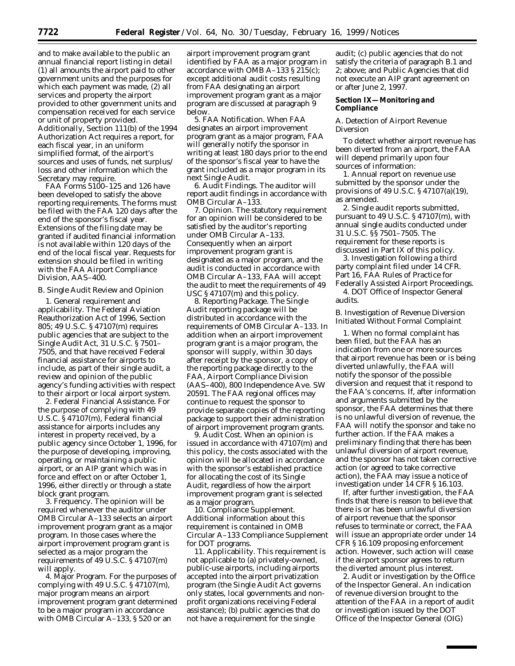and to make available to the public an annual financial report listing in detail (1) all amounts the airport paid to other government units and the purposes for which each payment was made, (2) all services and property the airport provided to other government units and compensation received for each service or unit of property provided. Additionally, Section 111(b) of the 1994 Authorization Act requires a report, for each fiscal year, in an uniform simplified format, of the airport's sources and uses of funds, net surplus/ loss and other information which the Secretary may require.

FAA Forms 5100–125 and 126 have been developed to satisfy the above reporting requirements. The forms must be filed with the FAA 120 days after the end of the sponsor's fiscal year. Extensions of the filing date may be granted if audited financial information is not available within 120 days of the end of the local fiscal year. Requests for extension should be filed in writing with the FAA Airport Compliance Division, AAS–400.

# *B. Single Audit Review and Opinion*

1. General requirement and applicability. The Federal Aviation Reauthorization Act of 1996, Section 805; 49 U.S.C. § 47107(m) requires public agencies that are subject to the Single Audit Act, 31 U.S.C. § 7501– 7505, and that have received Federal financial assistance for airports to include, as part of their single audit, a review and opinion of the public agency's funding activities with respect to their airport or local airport system.

2. Federal Financial Assistance. For the purpose of complying with 49 U.S.C. § 47107(m), Federal financial assistance for airports includes any interest in property received, by a public agency since October 1, 1996, for the purpose of developing, improving, operating, or maintaining a public airport, or an AIP grant which was in force and effect on or after October 1, 1996, either directly or through a state block grant program.

3. Frequency. The opinion will be required whenever the auditor under OMB Circular A–133 selects an airport improvement program grant as a major program. In those cases where the airport improvement program grant is selected as a major program the requirements of 49 U.S.C. § 47107(m) will apply.

4. Major Program. For the purposes of complying with 49 U.S.C. § 47107(m), major program means an airport improvement program grant determined to be a major program in accordance with OMB Circular A–133, § 520 or an

airport improvement program grant identified by FAA as a major program in accordance with OMB A–133 § 215(c); except additional audit costs resulting from FAA designating an airport improvement program grant as a major program are discussed at paragraph 9 below.

5. FAA Notification. When FAA designates an airport improvement program grant as a major program, FAA will generally notify the sponsor in writing at least 180 days prior to the end of the sponsor's fiscal year to have the grant included as a major program in its next Single Audit.

6. Audit Findings. The auditor will report audit findings in accordance with OMB Circular A–133.

7. Opinion. The statutory requirement for an opinion will be considered to be satisfied by the auditor's reporting under OMB Circular A–133. Consequently when an airport improvement program grant is designated as a major program, and the audit is conducted in accordance with OMB Circular A–133, FAA will accept the audit to meet the requirements of 49 USC § 47107(m) and this policy.

8. Reporting Package. The Single Audit reporting package will be distributed in accordance with the requirements of OMB Circular A–133. In addition when an airport improvement program grant is a major program, the sponsor will supply, within 30 days after receipt by the sponsor, a copy of the reporting package directly to the FAA, Airport Compliance Division (AAS–400), 800 Independence Ave. SW 20591. The FAA regional offices may continue to request the sponsor to provide separate copies of the reporting package to support their administration of airport improvement program grants.

9. Audit Cost. When an opinion is issued in accordance with 47107(m) and this policy, the costs associated with the opinion will be allocated in accordance with the sponsor's established practice for allocating the cost of its Single Audit, regardless of how the airport improvement program grant is selected as a major program.

10. Compliance Supplement. Additional information about this requirement is contained in OMB Circular A–133 Compliance Supplement for DOT programs.

11. Applicability. This requirement is not applicable to (a) privately-owned, public-use airports, including airports accepted into the airport privatization program (the Single Audit Act governs only states, local governments and nonprofit organizations receiving Federal assistance); (b) public agencies that do not have a requirement for the single

audit; (c) public agencies that do not satisfy the criteria of paragraph B.1 and 2; above; and Public Agencies that did not execute an AIP grant agreement on or after June 2, 1997.

## **Section IX—Monitoring and Compliance**

#### *A. Detection of Airport Revenue Diversion*

To detect whether airport revenue has been diverted from an airport, the FAA will depend primarily upon four sources of information:

1. Annual report on revenue use submitted by the sponsor under the provisions of 49 U.S.C. § 47107(a)(19), as amended.

2. Single audit reports submitted, pursuant to 49 U.S.C. § 47107(m), with annual single audits conducted under 31 U.S.C. §§ 7501–7505. The requirement for these reports is discussed in Part IX of this policy.

3. Investigation following a third party complaint filed under 14 CFR. Part 16, FAA Rules of Practice for Federally Assisted Airport Proceedings. 4. DOT Office of Inspector General audits.

# *B. Investigation of Revenue Diversion Initiated Without Formal Complaint*

1. When no formal complaint has been filed, but the FAA has an indication from one or more sources that airport revenue has been or is being diverted unlawfully, the FAA will notify the sponsor of the possible diversion and request that it respond to the FAA's concerns. If, after information and arguments submitted by the sponsor, the FAA determines that there is no unlawful diversion of revenue, the FAA will notify the sponsor and take no further action. If the FAA makes a preliminary finding that there has been unlawful diversion of airport revenue, and the sponsor has not taken corrective action (or agreed to take corrective action), the FAA may issue a notice of investigation under 14 CFR § 16.103.

If, after further investigation, the FAA finds that there is reason to believe that there is or has been unlawful diversion of airport revenue that the sponsor refuses to terminate or correct, the FAA will issue an appropriate order under 14 CFR § 16.109 proposing enforcement action. However, such action will cease if the airport sponsor agrees to return the diverted amount plus interest.

2. Audit or investigation by the Office of the Inspector General. An indication of revenue diversion brought to the attention of the FAA in a report of audit or investigation issued by the DOT Office of the Inspector General (OIG)